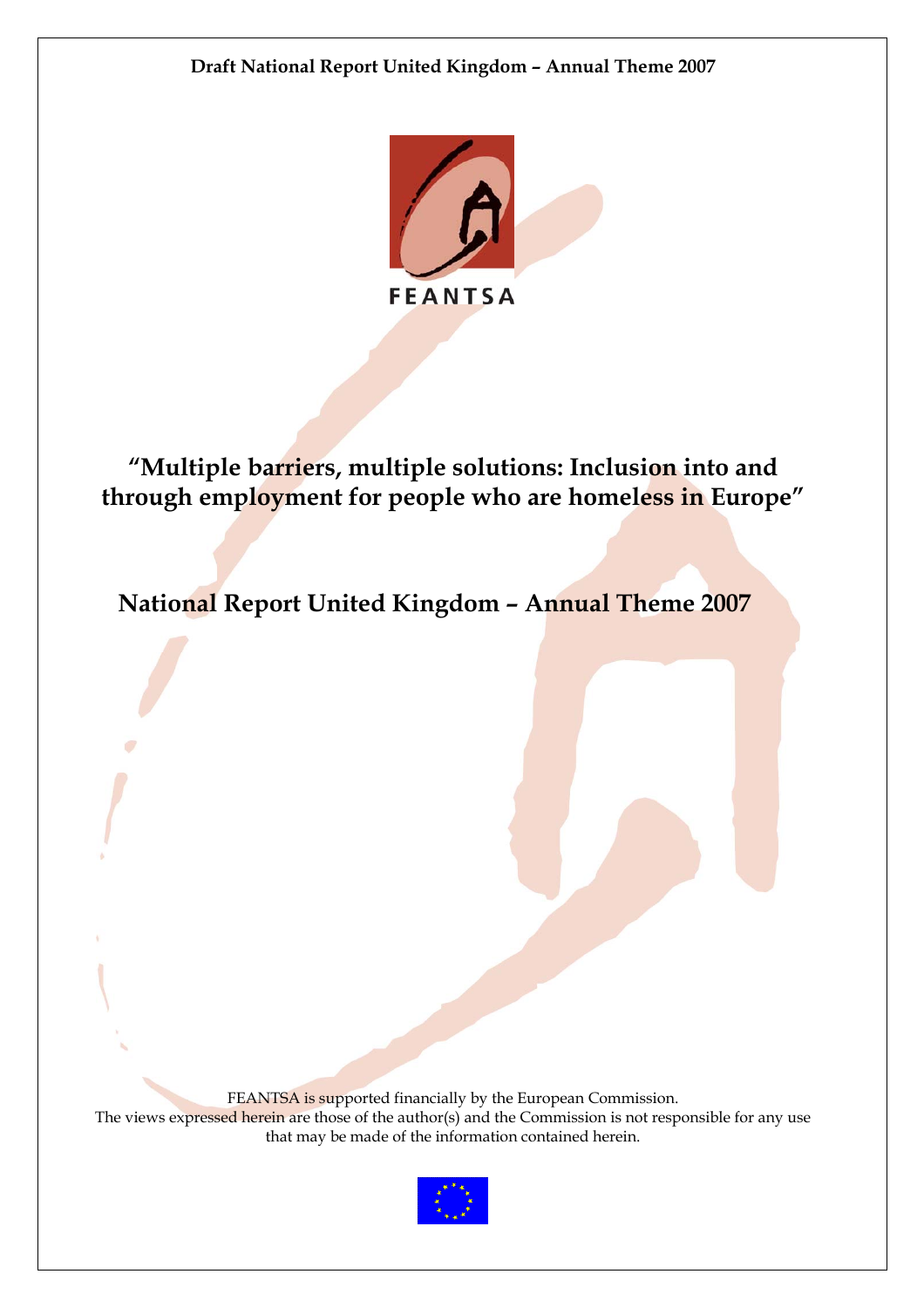

**"Multiple barriers, multiple solutions: Inclusion into and through employment for people who are homeless in Europe"** 

**National Report United Kingdom – Annual Theme 2007**

FEANTSA is supported financially by the European Commission. The views expressed herein are those of the author(s) and the Commission is not responsible for any use that may be made of the information contained herein.

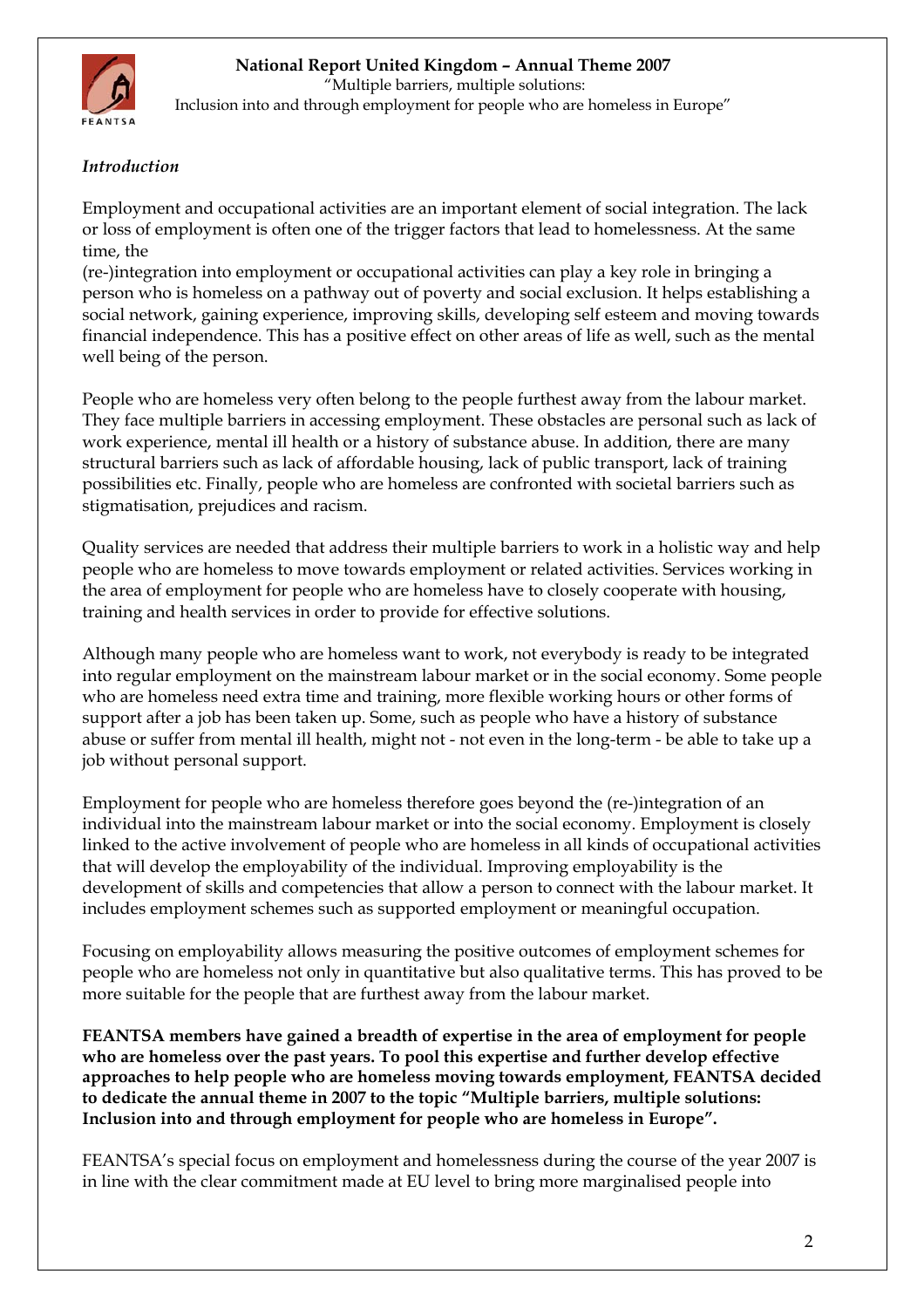

<span id="page-1-0"></span>

 "Multiple barriers, multiple solutions: Inclusion into and through employment for people who are homeless in Europe"

# *Introduction*

Employment and occupational activities are an important element of social integration. The lack or loss of employment is often one of the trigger factors that lead to homelessness. At the same time, the

(re-)integration into employment or occupational activities can play a key role in bringing a person who is homeless on a pathway out of poverty and social exclusion. It helps establishing a social network, gaining experience, improving skills, developing self esteem and moving towards financial independence. This has a positive effect on other areas of life as well, such as the mental well being of the person.

People who are homeless very often belong to the people furthest away from the labour market. They face multiple barriers in accessing employment. These obstacles are personal such as lack of work experience, mental ill health or a history of substance abuse. In addition, there are many structural barriers such as lack of affordable housing, lack of public transport, lack of training possibilities etc. Finally, people who are homeless are confronted with societal barriers such as stigmatisation, prejudices and racism.

Quality services are needed that address their multiple barriers to work in a holistic way and help people who are homeless to move towards employment or related activities. Services working in the area of employment for people who are homeless have to closely cooperate with housing, training and health services in order to provide for effective solutions.

Although many people who are homeless want to work, not everybody is ready to be integrated into regular employment on the mainstream labour market or in the social economy. Some people who are homeless need extra time and training, more flexible working hours or other forms of support after a job has been taken up. Some, such as people who have a history of substance abuse or suffer from mental ill health, might not - not even in the long-term - be able to take up a job without personal support.

Employment for people who are homeless therefore goes beyond the (re-)integration of an individual into the mainstream labour market or into the social economy. Employment is closely linked to the active involvement of people who are homeless in all kinds of occupational activities that will develop the employability of the individual. Improving employability is the development of skills and competencies that allow a person to connect with the labour market. It includes employment schemes such as supported employment or meaningful occupation.

Focusing on employability allows measuring the positive outcomes of employment schemes for people who are homeless not only in quantitative but also qualitative terms. This has proved to be more suitable for the people that are furthest away from the labour market.

**FEANTSA members have gained a breadth of expertise in the area of employment for people who are homeless over the past years. To pool this expertise and further develop effective approaches to help people who are homeless moving towards employment, FEANTSA decided to dedicate the annual theme in 2007 to the topic "Multiple barriers, multiple solutions: Inclusion into and through employment for people who are homeless in Europe".** 

FEANTSA's special focus on employment and homelessness during the course of the year 2007 is in line with the clear commitment made at EU level to bring more marginalised people into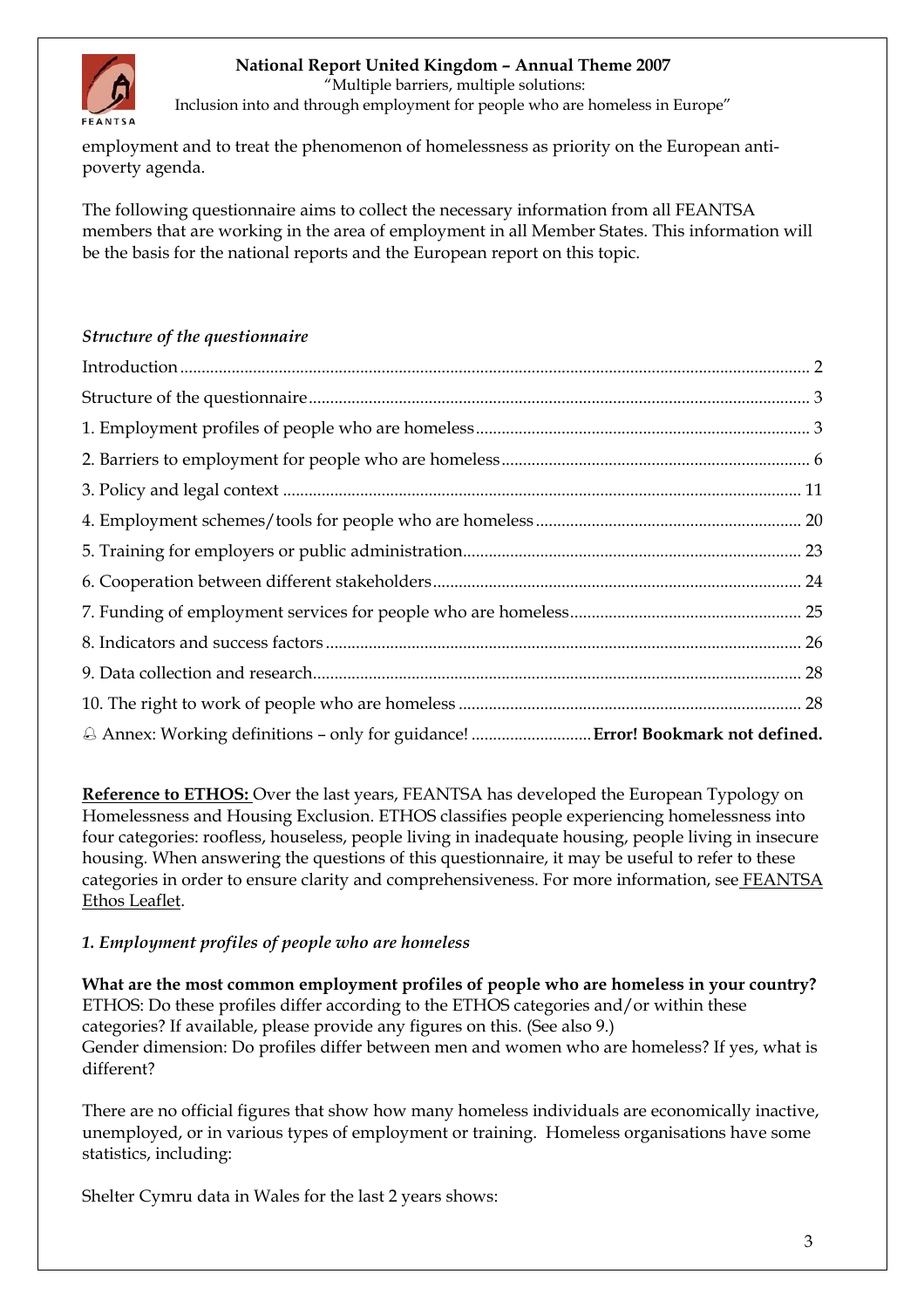<span id="page-2-0"></span>

"Multiple barriers, multiple solutions:

Inclusion into and through employment for people who are homeless in Europe"

employment and to treat the phenomenon of homelessness as priority on the European antipoverty agenda.

The following questionnaire aims to collect the necessary information from all FEANTSA members that are working in the area of employment in all Member States. This information will be the basis for the national reports and the European report on this topic.

### *Structure of the questionnaire*

**Reference to ETHOS:** Over the last years, FEANTSA has developed the European Typology on Homelessness and Housing Exclusion. ETHOS classifies people experiencing homelessness into four categories: roofless, houseless, people living in inadequate housing, people living in insecure housing. When answering the questions of this questionnaire, it may be useful to refer to these categories in order to ensure clarity and comprehensiveness. For more information, see [FEANTSA](http://www.feantsa.org/files/indicators_wg/ETHOS2006/EN_EthosLeaflet.pdf)  [Ethos Leaflet](http://www.feantsa.org/files/indicators_wg/ETHOS2006/EN_EthosLeaflet.pdf).

### *1. Employment profiles of people who are homeless*

**What are the most common employment profiles of people who are homeless in your country?**  ETHOS: Do these profiles differ according to the ETHOS categories and/or within these categories? If available, please provide any figures on this. (See also 9.) Gender dimension: Do profiles differ between men and women who are homeless? If yes, what is different?

There are no official figures that show how many homeless individuals are economically inactive, unemployed, or in various types of employment or training. Homeless organisations have some statistics, including:

Shelter Cymru data in Wales for the last 2 years shows: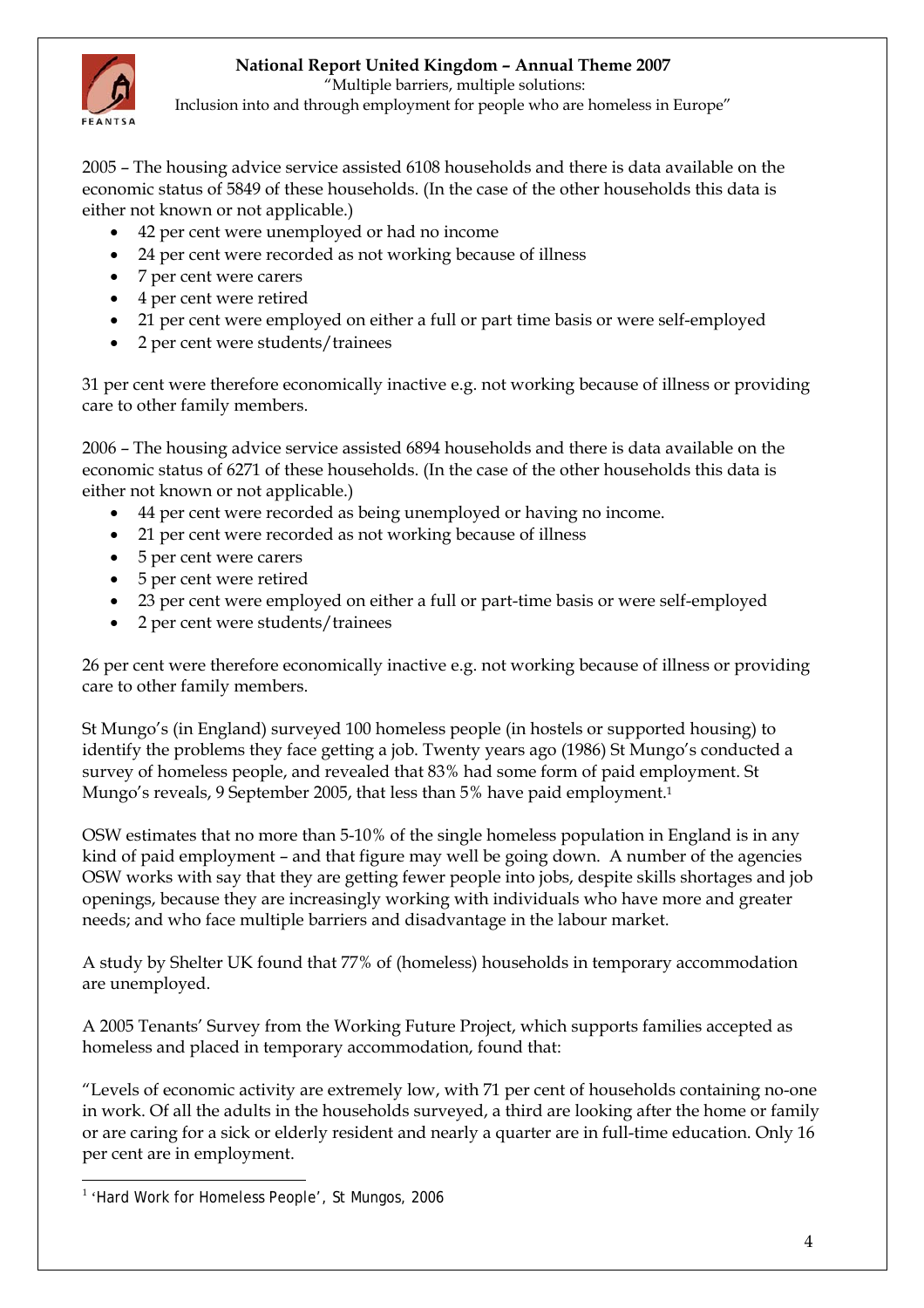

"Multiple barriers, multiple solutions:

Inclusion into and through employment for people who are homeless in Europe"

2005 – The housing advice service assisted 6108 households and there is data available on the economic status of 5849 of these households. (In the case of the other households this data is either not known or not applicable.)

- 42 per cent were unemployed or had no income
- 24 per cent were recorded as not working because of illness
- 7 per cent were carers
- 4 per cent were retired
- 21 per cent were employed on either a full or part time basis or were self-employed
- 2 per cent were students/trainees

31 per cent were therefore economically inactive e.g. not working because of illness or providing care to other family members.

2006 – The housing advice service assisted 6894 households and there is data available on the economic status of 6271 of these households. (In the case of the other households this data is either not known or not applicable.)

- 44 per cent were recorded as being unemployed or having no income.
- 21 per cent were recorded as not working because of illness
- 5 per cent were carers
- 5 per cent were retired
- 23 per cent were employed on either a full or part-time basis or were self-employed
- 2 per cent were students/trainees

26 per cent were therefore economically inactive e.g. not working because of illness or providing care to other family members.

St Mungo's (in England) surveyed 100 homeless people (in hostels or supported housing) to identify the problems they face getting a job. Twenty years ago (1986) St Mungo's conducted a survey of homeless people, and revealed that 83% had some form of paid employment. St Mungo's reveals, 9 September 2005, that less than 5% have paid employment.[1](#page-3-0) 

OSW estimates that no more than 5-10% of the single homeless population in England is in any kind of paid employment – and that figure may well be going down. A number of the agencies OSW works with say that they are getting fewer people into jobs, despite skills shortages and job openings, because they are increasingly working with individuals who have more and greater needs; and who face multiple barriers and disadvantage in the labour market.

A study by Shelter UK found that 77% of (homeless) households in temporary accommodation are unemployed.

A 2005 Tenants' Survey from the Working Future Project, which supports families accepted as homeless and placed in temporary accommodation, found that:

"Levels of economic activity are extremely low, with 71 per cent of households containing no-one in work. Of all the adults in the households surveyed, a third are looking after the home or family or are caring for a sick or elderly resident and nearly a quarter are in full-time education. Only 16 per cent are in employment.

<span id="page-3-0"></span> $\overline{a}$ <sup>1</sup> 'Hard Work for Homeless People', St Mungos, 2006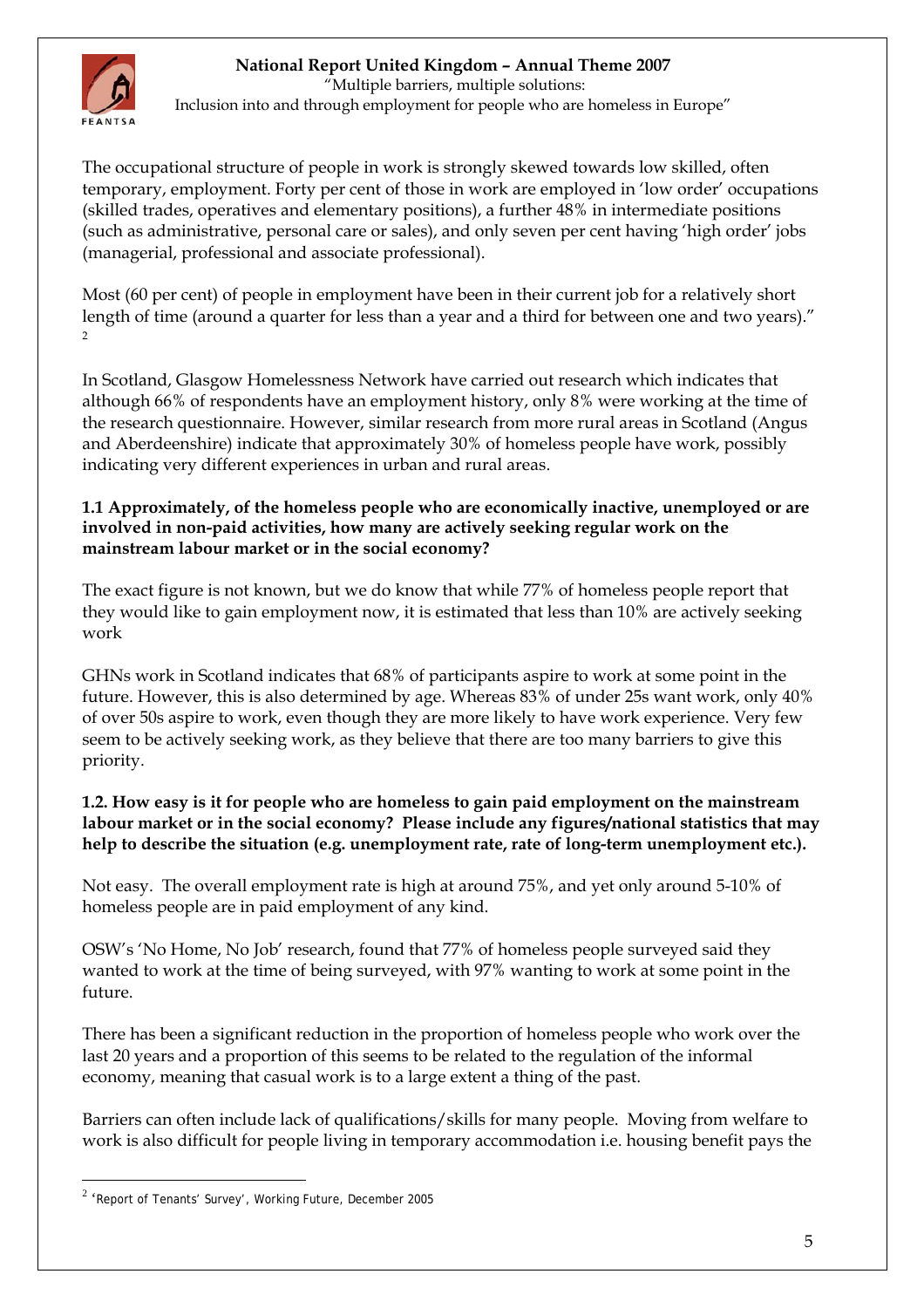

 "Multiple barriers, multiple solutions: Inclusion into and through employment for people who are homeless in Europe"

The occupational structure of people in work is strongly skewed towards low skilled, often temporary, employment. Forty per cent of those in work are employed in 'low order' occupations (skilled trades, operatives and elementary positions), a further 48% in intermediate positions (such as administrative, personal care or sales), and only seven per cent having 'high order' jobs (managerial, professional and associate professional).

Most (60 per cent) of people in employment have been in their current job for a relatively short length of time (around a quarter for less than a year and a third for between one and two years)."  $\overline{2}$  $\overline{2}$  $\overline{2}$ 

In Scotland, Glasgow Homelessness Network have carried out research which indicates that although 66% of respondents have an employment history, only 8% were working at the time of the research questionnaire. However, similar research from more rural areas in Scotland (Angus and Aberdeenshire) indicate that approximately 30% of homeless people have work, possibly indicating very different experiences in urban and rural areas.

### **1.1 Approximately, of the homeless people who are economically inactive, unemployed or are involved in non-paid activities, how many are actively seeking regular work on the mainstream labour market or in the social economy?**

The exact figure is not known, but we do know that while 77% of homeless people report that they would like to gain employment now, it is estimated that less than 10% are actively seeking work

GHNs work in Scotland indicates that 68% of participants aspire to work at some point in the future. However, this is also determined by age. Whereas 83% of under 25s want work, only 40% of over 50s aspire to work, even though they are more likely to have work experience. Very few seem to be actively seeking work, as they believe that there are too many barriers to give this priority.

#### **1.2. How easy is it for people who are homeless to gain paid employment on the mainstream labour market or in the social economy? Please include any figures/national statistics that may help to describe the situation (e.g. unemployment rate, rate of long-term unemployment etc.).**

Not easy. The overall employment rate is high at around 75%, and yet only around 5-10% of homeless people are in paid employment of any kind.

OSW's 'No Home, No Job' research, found that 77% of homeless people surveyed said they wanted to work at the time of being surveyed, with 97% wanting to work at some point in the future.

There has been a significant reduction in the proportion of homeless people who work over the last 20 years and a proportion of this seems to be related to the regulation of the informal economy, meaning that casual work is to a large extent a thing of the past.

Barriers can often include lack of qualifications/skills for many people. Moving from welfare to work is also difficult for people living in temporary accommodation i.e. housing benefit pays the

 $\overline{a}$ 

<span id="page-4-0"></span> $2$  'Report of Tenants' Survey', Working Future, December 2005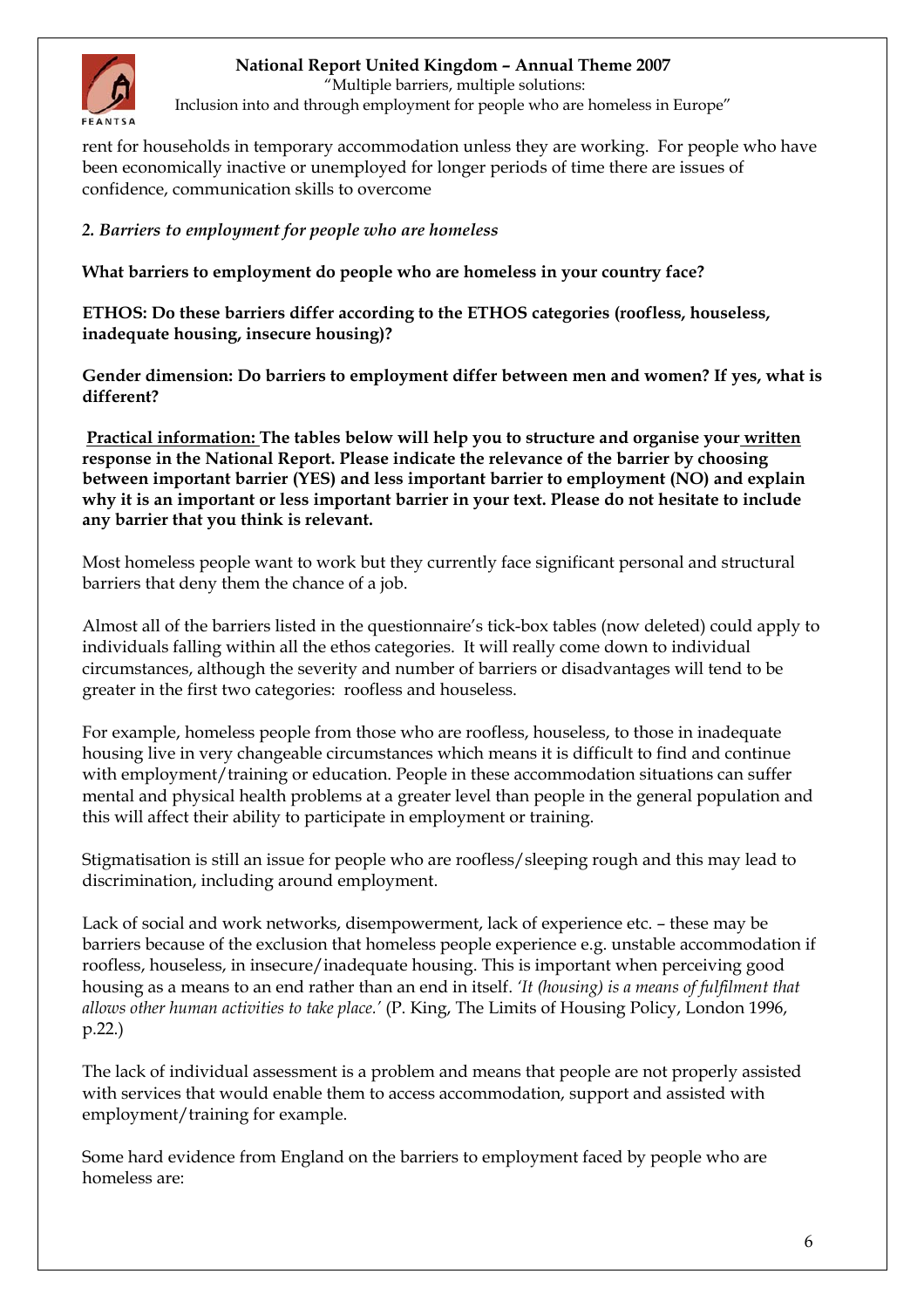<span id="page-5-0"></span>

"Multiple barriers, multiple solutions:

Inclusion into and through employment for people who are homeless in Europe"

rent for households in temporary accommodation unless they are working. For people who have been economically inactive or unemployed for longer periods of time there are issues of confidence, communication skills to overcome

# *2. Barriers to employment for people who are homeless*

**What barriers to employment do people who are homeless in your country face?** 

**ETHOS: Do these barriers differ according to the ETHOS categories (roofless, houseless, inadequate housing, insecure housing)?** 

**Gender dimension: Do barriers to employment differ between men and women? If yes, what is different?** 

**Practical information: The tables below will help you to structure and organise your written response in the National Report. Please indicate the relevance of the barrier by choosing between important barrier (YES) and less important barrier to employment (NO) and explain why it is an important or less important barrier in your text. Please do not hesitate to include any barrier that you think is relevant.** 

Most homeless people want to work but they currently face significant personal and structural barriers that deny them the chance of a job.

Almost all of the barriers listed in the questionnaire's tick-box tables (now deleted) could apply to individuals falling within all the ethos categories. It will really come down to individual circumstances, although the severity and number of barriers or disadvantages will tend to be greater in the first two categories: roofless and houseless.

For example, homeless people from those who are roofless, houseless, to those in inadequate housing live in very changeable circumstances which means it is difficult to find and continue with employment/training or education. People in these accommodation situations can suffer mental and physical health problems at a greater level than people in the general population and this will affect their ability to participate in employment or training.

Stigmatisation is still an issue for people who are roofless/sleeping rough and this may lead to discrimination, including around employment.

Lack of social and work networks, disempowerment, lack of experience etc. – these may be barriers because of the exclusion that homeless people experience e.g. unstable accommodation if roofless, houseless, in insecure/inadequate housing. This is important when perceiving good housing as a means to an end rather than an end in itself. *'It (housing) is a means of fulfilment that allows other human activities to take place.'* (P. King, The Limits of Housing Policy, London 1996, p.22.)

The lack of individual assessment is a problem and means that people are not properly assisted with services that would enable them to access accommodation, support and assisted with employment/training for example.

Some hard evidence from England on the barriers to employment faced by people who are homeless are: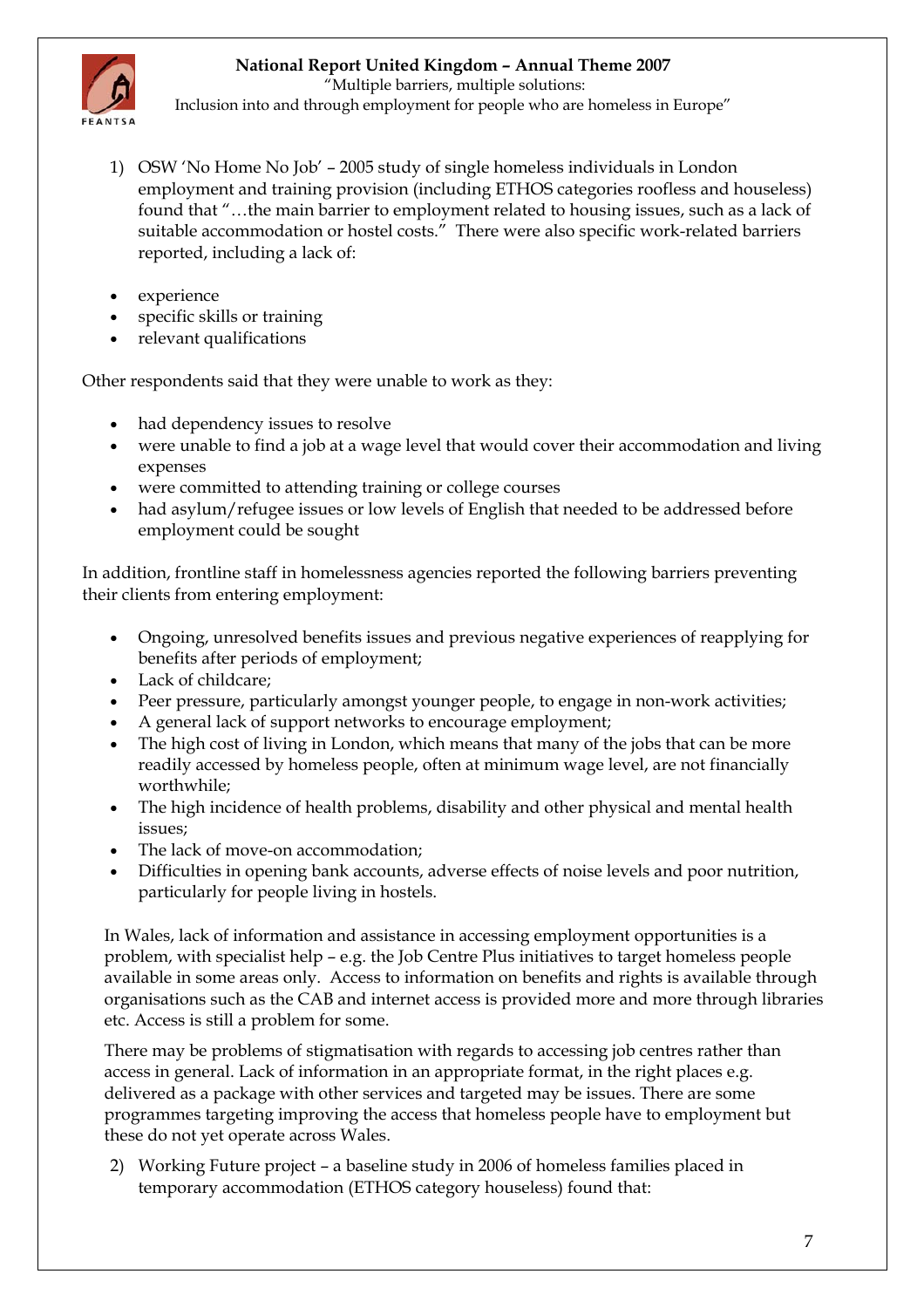

 "Multiple barriers, multiple solutions: Inclusion into and through employment for people who are homeless in Europe"

- 1) OSW 'No Home No Job' 2005 study of single homeless individuals in London employment and training provision (including ETHOS categories roofless and houseless) found that "…the main barrier to employment related to housing issues, such as a lack of suitable accommodation or hostel costs." There were also specific work-related barriers reported, including a lack of:
- experience
- specific skills or training
- relevant qualifications

Other respondents said that they were unable to work as they:

- had dependency issues to resolve
- were unable to find a job at a wage level that would cover their accommodation and living expenses
- were committed to attending training or college courses
- had asylum/refugee issues or low levels of English that needed to be addressed before employment could be sought

In addition, frontline staff in homelessness agencies reported the following barriers preventing their clients from entering employment:

- Ongoing, unresolved benefits issues and previous negative experiences of reapplying for benefits after periods of employment;
- Lack of childcare;
- Peer pressure, particularly amongst younger people, to engage in non-work activities;
- A general lack of support networks to encourage employment;
- The high cost of living in London, which means that many of the jobs that can be more readily accessed by homeless people, often at minimum wage level, are not financially worthwhile;
- The high incidence of health problems, disability and other physical and mental health issues;
- The lack of move-on accommodation;
- Difficulties in opening bank accounts, adverse effects of noise levels and poor nutrition, particularly for people living in hostels.

In Wales, lack of information and assistance in accessing employment opportunities is a problem, with specialist help – e.g. the Job Centre Plus initiatives to target homeless people available in some areas only. Access to information on benefits and rights is available through organisations such as the CAB and internet access is provided more and more through libraries etc. Access is still a problem for some.

There may be problems of stigmatisation with regards to accessing job centres rather than access in general. Lack of information in an appropriate format, in the right places e.g. delivered as a package with other services and targeted may be issues. There are some programmes targeting improving the access that homeless people have to employment but these do not yet operate across Wales.

2) Working Future project – a baseline study in 2006 of homeless families placed in temporary accommodation (ETHOS category houseless) found that: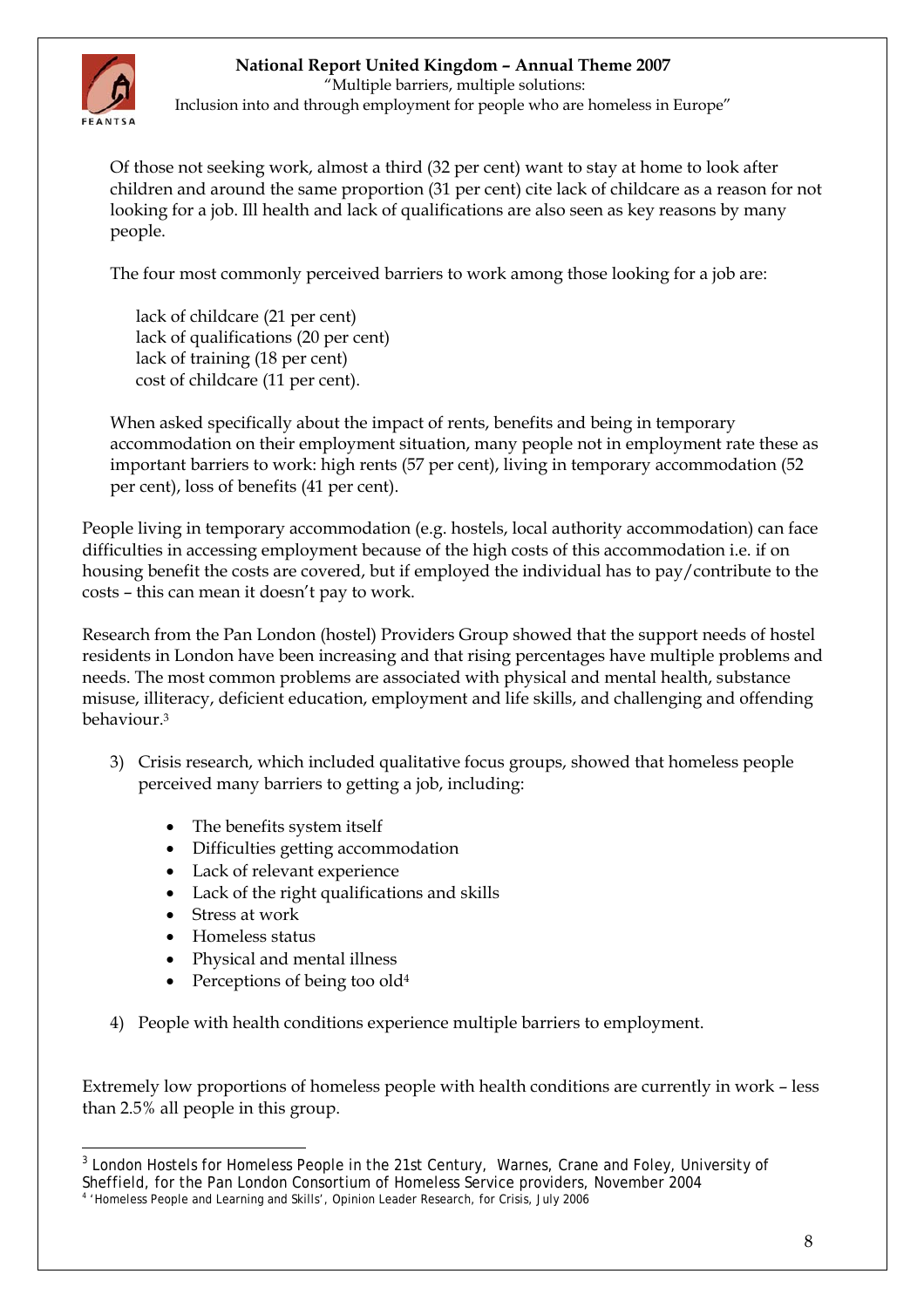

 "Multiple barriers, multiple solutions: Inclusion into and through employment for people who are homeless in Europe"

Of those not seeking work, almost a third (32 per cent) want to stay at home to look after children and around the same proportion (31 per cent) cite lack of childcare as a reason for not looking for a job. Ill health and lack of qualifications are also seen as key reasons by many people.

The four most commonly perceived barriers to work among those looking for a job are:

 lack of childcare (21 per cent) lack of qualifications (20 per cent) lack of training (18 per cent) cost of childcare (11 per cent).

When asked specifically about the impact of rents, benefits and being in temporary accommodation on their employment situation, many people not in employment rate these as important barriers to work: high rents (57 per cent), living in temporary accommodation (52 per cent), loss of benefits (41 per cent).

People living in temporary accommodation (e.g. hostels, local authority accommodation) can face difficulties in accessing employment because of the high costs of this accommodation i.e. if on housing benefit the costs are covered, but if employed the individual has to pay/contribute to the costs – this can mean it doesn't pay to work.

Research from the Pan London (hostel) Providers Group showed that the support needs of hostel residents in London have been increasing and that rising percentages have multiple problems and needs. The most common problems are associated with physical and mental health, substance misuse, illiteracy, deficient education, employment and life skills, and challenging and offending behaviour.[3](#page-7-0)

- 3) Crisis research, which included qualitative focus groups, showed that homeless people perceived many barriers to getting a job, including:
	- The benefits system itself
	- Difficulties getting accommodation
	- Lack of relevant experience
	- Lack of the right qualifications and skills
	- Stress at work
	- Homeless status
	- Physical and mental illness
	- Perceptions of being too old<sup>[4](#page-7-1)</sup>
- 4) People with health conditions experience multiple barriers to employment.

Extremely low proportions of homeless people with health conditions are currently in work – less than 2.5% all people in this group.

<span id="page-7-0"></span> $\overline{a}$ <sup>3</sup> London Hostels for Homeless People in the 21st Century, Warnes, Crane and Foley, University of Sheffield, for the Pan London Consortium of Homeless Service providers, November 2004

<span id="page-7-1"></span><sup>4</sup> 'Homeless People and Learning and Skills', Opinion Leader Research, for Crisis, July 2006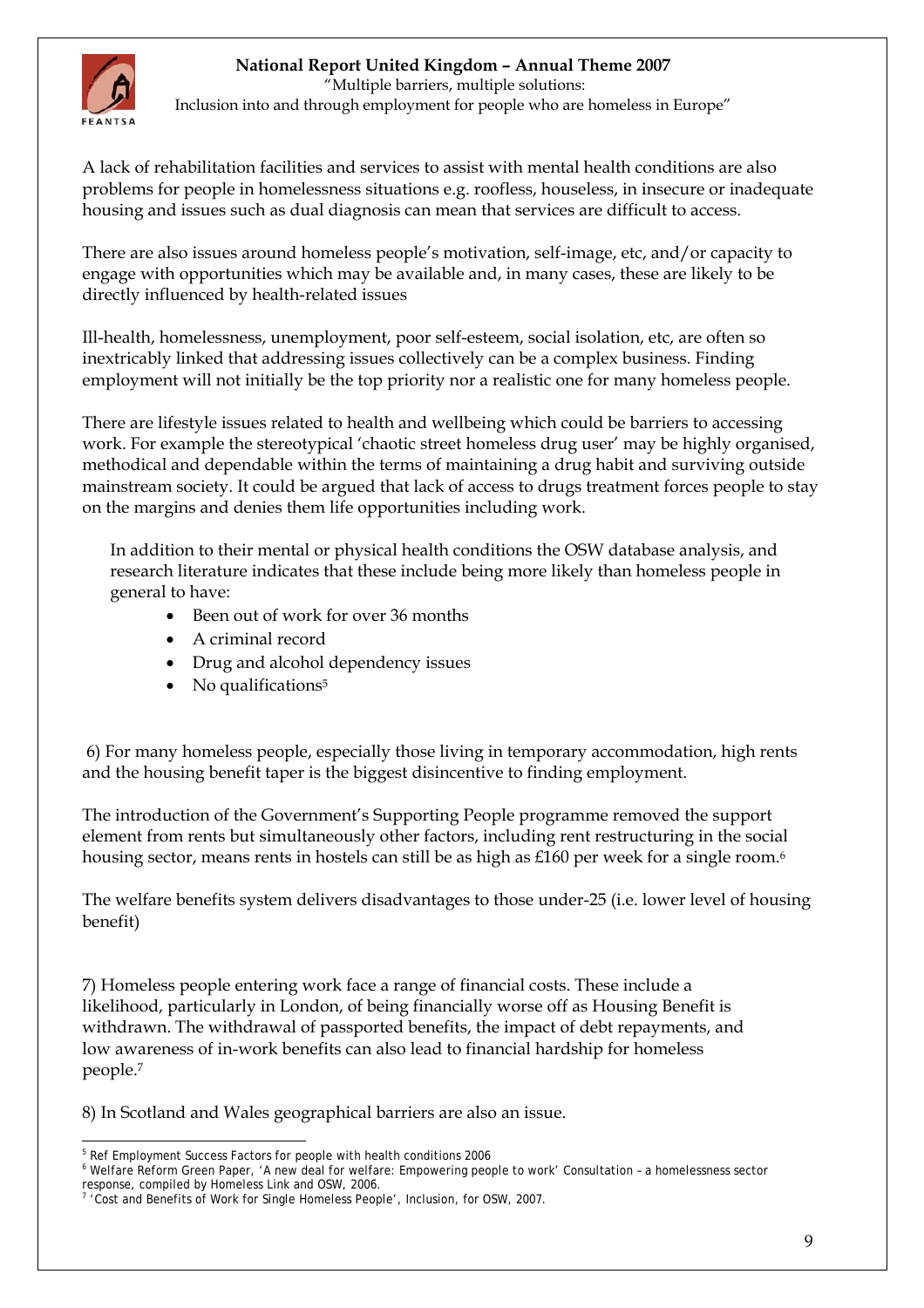

 "Multiple barriers, multiple solutions: Inclusion into and through employment for people who are homeless in Europe"

A lack of rehabilitation facilities and services to assist with mental health conditions are also problems for people in homelessness situations e.g. roofless, houseless, in insecure or inadequate housing and issues such as dual diagnosis can mean that services are difficult to access.

There are also issues around homeless people's motivation, self-image, etc, and/or capacity to engage with opportunities which may be available and, in many cases, these are likely to be directly influenced by health-related issues

Ill-health, homelessness, unemployment, poor self-esteem, social isolation, etc, are often so inextricably linked that addressing issues collectively can be a complex business. Finding employment will not initially be the top priority nor a realistic one for many homeless people.

There are lifestyle issues related to health and wellbeing which could be barriers to accessing work. For example the stereotypical 'chaotic street homeless drug user' may be highly organised, methodical and dependable within the terms of maintaining a drug habit and surviving outside mainstream society. It could be argued that lack of access to drugs treatment forces people to stay on the margins and denies them life opportunities including work.

In addition to their mental or physical health conditions the OSW database analysis, and research literature indicates that these include being more likely than homeless people in general to have:

- Been out of work for over 36 months
- A criminal record
- Drug and alcohol dependency issues
- No qualifications<sup>[5](#page-8-0)</sup>

 6) For many homeless people, especially those living in temporary accommodation, high rents and the housing benefit taper is the biggest disincentive to finding employment.

The introduction of the Government's Supporting People programme removed the support element from rents but simultaneously other factors, including rent restructuring in the social housing sector, means rents in hostels can still be as high as £1[6](#page-8-1)0 per week for a single room.<sup>6</sup>

The welfare benefits system delivers disadvantages to those under-25 (i.e. lower level of housing benefit)

7) Homeless people entering work face a range of financial costs. These include a likelihood, particularly in London, of being financially worse off as Housing Benefit is withdrawn. The withdrawal of passported benefits, the impact of debt repayments, and low awareness of in-work benefits can also lead to financial hardship for homeless people.[7](#page-8-2)

8) In Scotland and Wales geographical barriers are also an issue.

 $\overline{a}$ <sup>5</sup> Ref Employment Success Factors for people with health conditions 2006

<span id="page-8-1"></span><span id="page-8-0"></span>Welfare Reform Green Paper, 'A new deal for welfare: Empowering people to work' Consultation – a homelessness sector response, compiled by Homeless Link and OSW, 2006.

<span id="page-8-2"></span><sup>&</sup>lt;sup>7</sup> 'Cost and Benefits of Work for Single Homeless People', Inclusion, for OSW, 2007.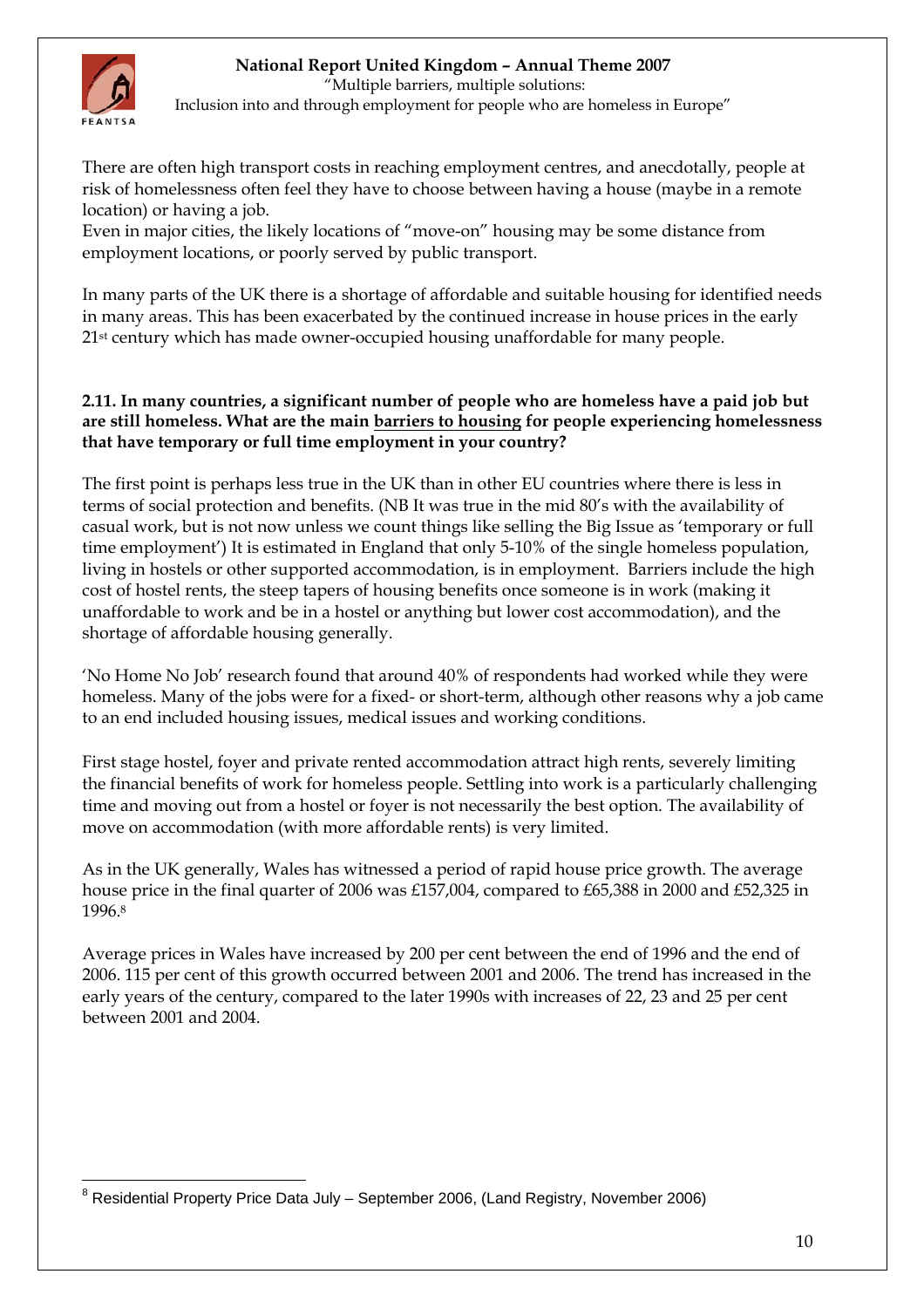

"Multiple barriers, multiple solutions:

Inclusion into and through employment for people who are homeless in Europe"

There are often high transport costs in reaching employment centres, and anecdotally, people at risk of homelessness often feel they have to choose between having a house (maybe in a remote location) or having a job.

Even in major cities, the likely locations of "move-on" housing may be some distance from employment locations, or poorly served by public transport.

In many parts of the UK there is a shortage of affordable and suitable housing for identified needs in many areas. This has been exacerbated by the continued increase in house prices in the early 21<sup>st</sup> century which has made owner-occupied housing unaffordable for many people.

### **2.11. In many countries, a significant number of people who are homeless have a paid job but are still homeless. What are the main barriers to housing for people experiencing homelessness that have temporary or full time employment in your country?**

The first point is perhaps less true in the UK than in other EU countries where there is less in terms of social protection and benefits. (NB It was true in the mid 80's with the availability of casual work, but is not now unless we count things like selling the Big Issue as 'temporary or full time employment') It is estimated in England that only 5-10% of the single homeless population, living in hostels or other supported accommodation, is in employment. Barriers include the high cost of hostel rents, the steep tapers of housing benefits once someone is in work (making it unaffordable to work and be in a hostel or anything but lower cost accommodation), and the shortage of affordable housing generally.

'No Home No Job' research found that around 40% of respondents had worked while they were homeless. Many of the jobs were for a fixed- or short-term, although other reasons why a job came to an end included housing issues, medical issues and working conditions.

First stage hostel, foyer and private rented accommodation attract high rents, severely limiting the financial benefits of work for homeless people. Settling into work is a particularly challenging time and moving out from a hostel or foyer is not necessarily the best option. The availability of move on accommodation (with more affordable rents) is very limited.

As in the UK generally, Wales has witnessed a period of rapid house price growth. The average house price in the final quarter of 2006 was £157,004, compared to £65,388 in 2000 and £52,325 in 1996.[8](#page-9-0) 

Average prices in Wales have increased by 200 per cent between the end of 1996 and the end of 2006. 115 per cent of this growth occurred between 2001 and 2006. The trend has increased in the early years of the century, compared to the later 1990s with increases of 22, 23 and 25 per cent between 2001 and 2004.

<span id="page-9-0"></span> $\overline{a}$ <sup>8</sup> Residential Property Price Data July – September 2006, (Land Registry, November 2006)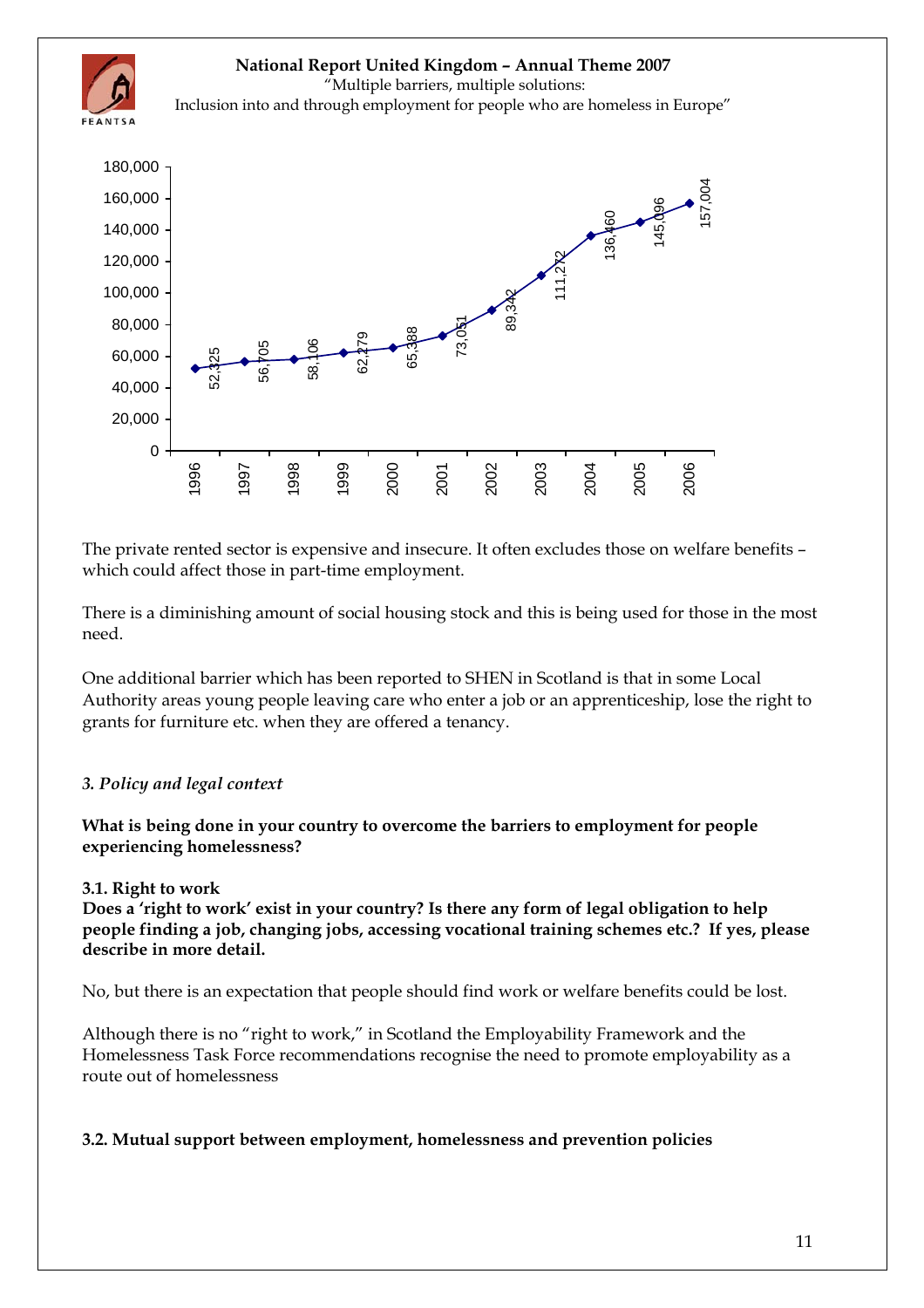<span id="page-10-0"></span>

The private rented sector is expensive and insecure. It often excludes those on welfare benefits – which could affect those in part-time employment.

There is a diminishing amount of social housing stock and this is being used for those in the most need.

One additional barrier which has been reported to SHEN in Scotland is that in some Local Authority areas young people leaving care who enter a job or an apprenticeship, lose the right to grants for furniture etc. when they are offered a tenancy.

### *3. Policy and legal context*

**What is being done in your country to overcome the barriers to employment for people experiencing homelessness?** 

#### **3.1. Right to work**

**Does a 'right to work' exist in your country? Is there any form of legal obligation to help people finding a job, changing jobs, accessing vocational training schemes etc.? If yes, please describe in more detail.** 

No, but there is an expectation that people should find work or welfare benefits could be lost.

Although there is no "right to work," in Scotland the Employability Framework and the Homelessness Task Force recommendations recognise the need to promote employability as a route out of homelessness

#### **3.2. Mutual support between employment, homelessness and prevention policies**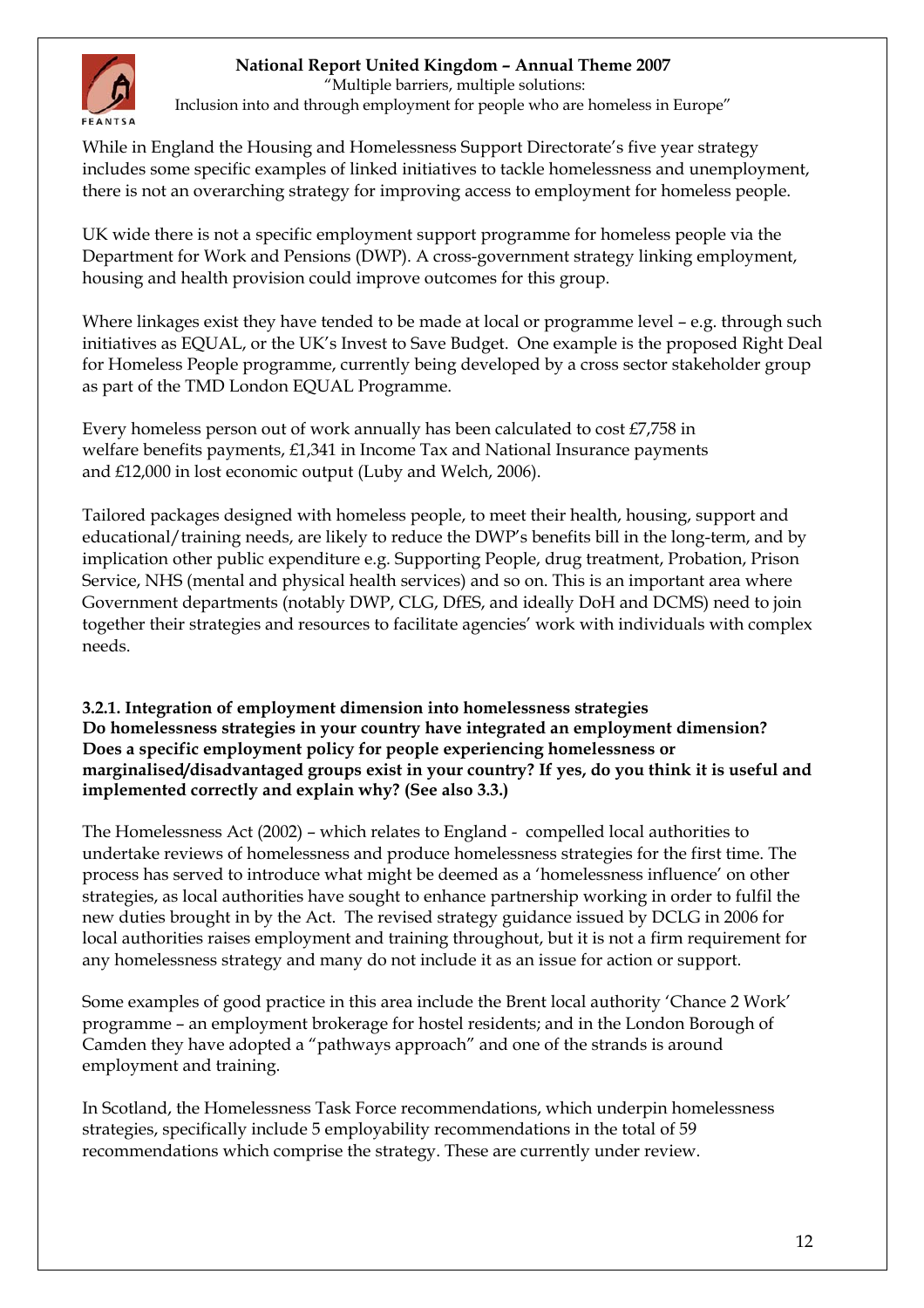

 "Multiple barriers, multiple solutions: Inclusion into and through employment for people who are homeless in Europe"

While in England the Housing and Homelessness Support Directorate's five year strategy includes some specific examples of linked initiatives to tackle homelessness and unemployment, there is not an overarching strategy for improving access to employment for homeless people.

UK wide there is not a specific employment support programme for homeless people via the Department for Work and Pensions (DWP). A cross-government strategy linking employment, housing and health provision could improve outcomes for this group.

Where linkages exist they have tended to be made at local or programme level – e.g. through such initiatives as EQUAL, or the UK's Invest to Save Budget. One example is the proposed Right Deal for Homeless People programme, currently being developed by a cross sector stakeholder group as part of the TMD London EQUAL Programme.

Every homeless person out of work annually has been calculated to cost £7,758 in welfare benefits payments, £1,341 in Income Tax and National Insurance payments and £12,000 in lost economic output (Luby and Welch, 2006).

Tailored packages designed with homeless people, to meet their health, housing, support and educational/training needs, are likely to reduce the DWP's benefits bill in the long-term, and by implication other public expenditure e.g. Supporting People, drug treatment, Probation, Prison Service, NHS (mental and physical health services) and so on. This is an important area where Government departments (notably DWP, CLG, DfES, and ideally DoH and DCMS) need to join together their strategies and resources to facilitate agencies' work with individuals with complex needs.

### **3.2.1. Integration of employment dimension into homelessness strategies Do homelessness strategies in your country have integrated an employment dimension? Does a specific employment policy for people experiencing homelessness or marginalised/disadvantaged groups exist in your country? If yes, do you think it is useful and implemented correctly and explain why? (See also 3.3.)**

The Homelessness Act (2002) – which relates to England - compelled local authorities to undertake reviews of homelessness and produce homelessness strategies for the first time. The process has served to introduce what might be deemed as a 'homelessness influence' on other strategies, as local authorities have sought to enhance partnership working in order to fulfil the new duties brought in by the Act. The revised strategy guidance issued by DCLG in 2006 for local authorities raises employment and training throughout, but it is not a firm requirement for any homelessness strategy and many do not include it as an issue for action or support.

Some examples of good practice in this area include the Brent local authority 'Chance 2 Work' programme – an employment brokerage for hostel residents; and in the London Borough of Camden they have adopted a "pathways approach" and one of the strands is around employment and training.

In Scotland, the Homelessness Task Force recommendations, which underpin homelessness strategies, specifically include 5 employability recommendations in the total of 59 recommendations which comprise the strategy. These are currently under review.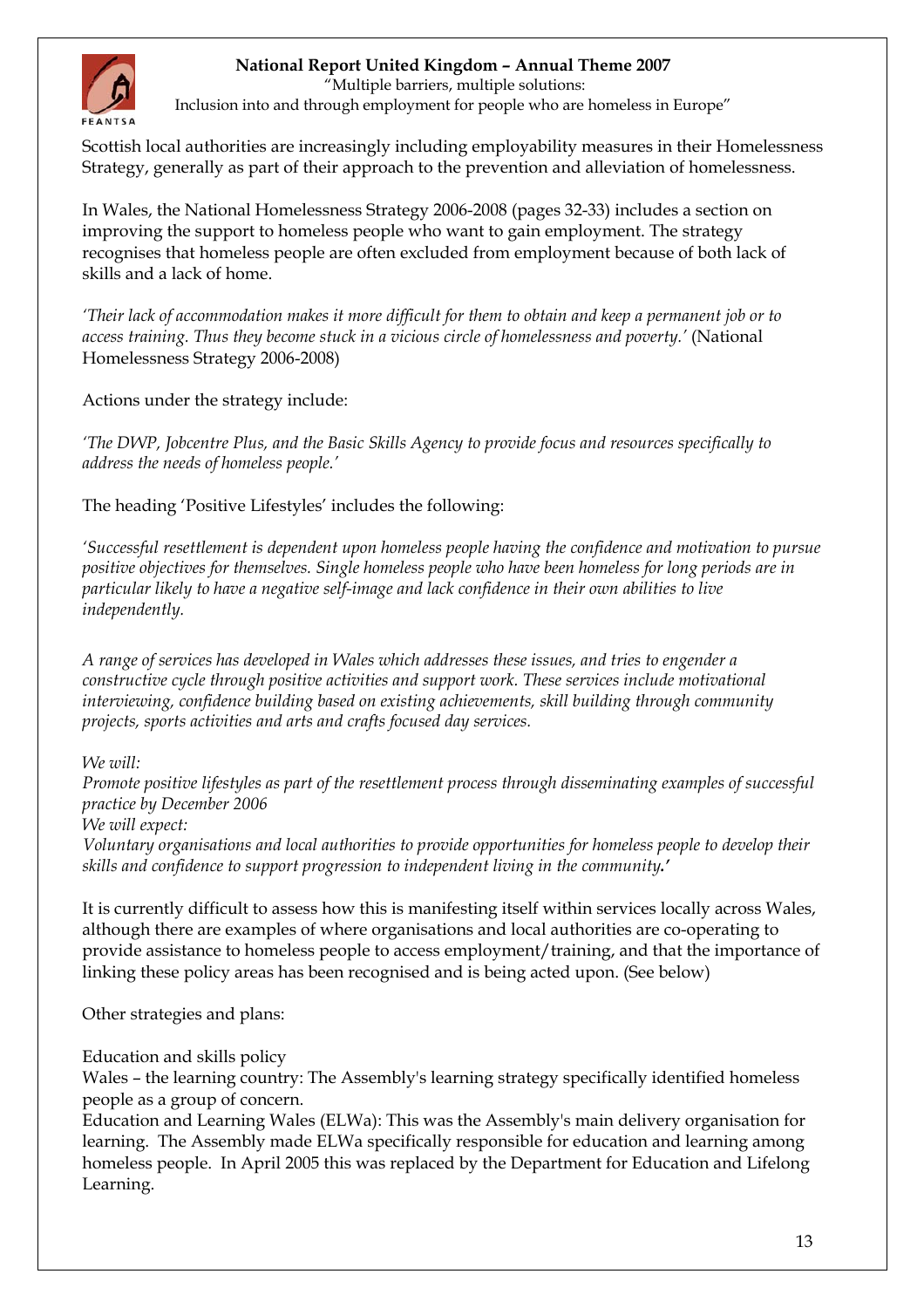

"Multiple barriers, multiple solutions:

Inclusion into and through employment for people who are homeless in Europe"

Scottish local authorities are increasingly including employability measures in their Homelessness Strategy, generally as part of their approach to the prevention and alleviation of homelessness.

In Wales, the National Homelessness Strategy 2006-2008 (pages 32-33) includes a section on improving the support to homeless people who want to gain employment. The strategy recognises that homeless people are often excluded from employment because of both lack of skills and a lack of home.

*'Their lack of accommodation makes it more difficult for them to obtain and keep a permanent job or to access training. Thus they become stuck in a vicious circle of homelessness and poverty.'* (National Homelessness Strategy 2006-2008)

Actions under the strategy include:

*'The DWP, Jobcentre Plus, and the Basic Skills Agency to provide focus and resources specifically to address the needs of homeless people.'* 

The heading 'Positive Lifestyles' includes the following:

*'Successful resettlement is dependent upon homeless people having the confidence and motivation to pursue positive objectives for themselves. Single homeless people who have been homeless for long periods are in particular likely to have a negative self-image and lack confidence in their own abilities to live independently.* 

*A range of services has developed in Wales which addresses these issues, and tries to engender a constructive cycle through positive activities and support work. These services include motivational interviewing, confidence building based on existing achievements, skill building through community projects, sports activities and arts and crafts focused day services.* 

*We will:* 

*Promote positive lifestyles as part of the resettlement process through disseminating examples of successful practice by December 2006* 

*We will expect:* 

*Voluntary organisations and local authorities to provide opportunities for homeless people to develop their skills and confidence to support progression to independent living in the community.'*

It is currently difficult to assess how this is manifesting itself within services locally across Wales, although there are examples of where organisations and local authorities are co-operating to provide assistance to homeless people to access employment/training, and that the importance of linking these policy areas has been recognised and is being acted upon. (See below)

Other strategies and plans:

Education and skills policy

Wales – the learning country: The Assembly's learning strategy specifically identified homeless people as a group of concern.

Education and Learning Wales (ELWa): This was the Assembly's main delivery organisation for learning. The Assembly made ELWa specifically responsible for education and learning among homeless people. In April 2005 this was replaced by the Department for Education and Lifelong Learning.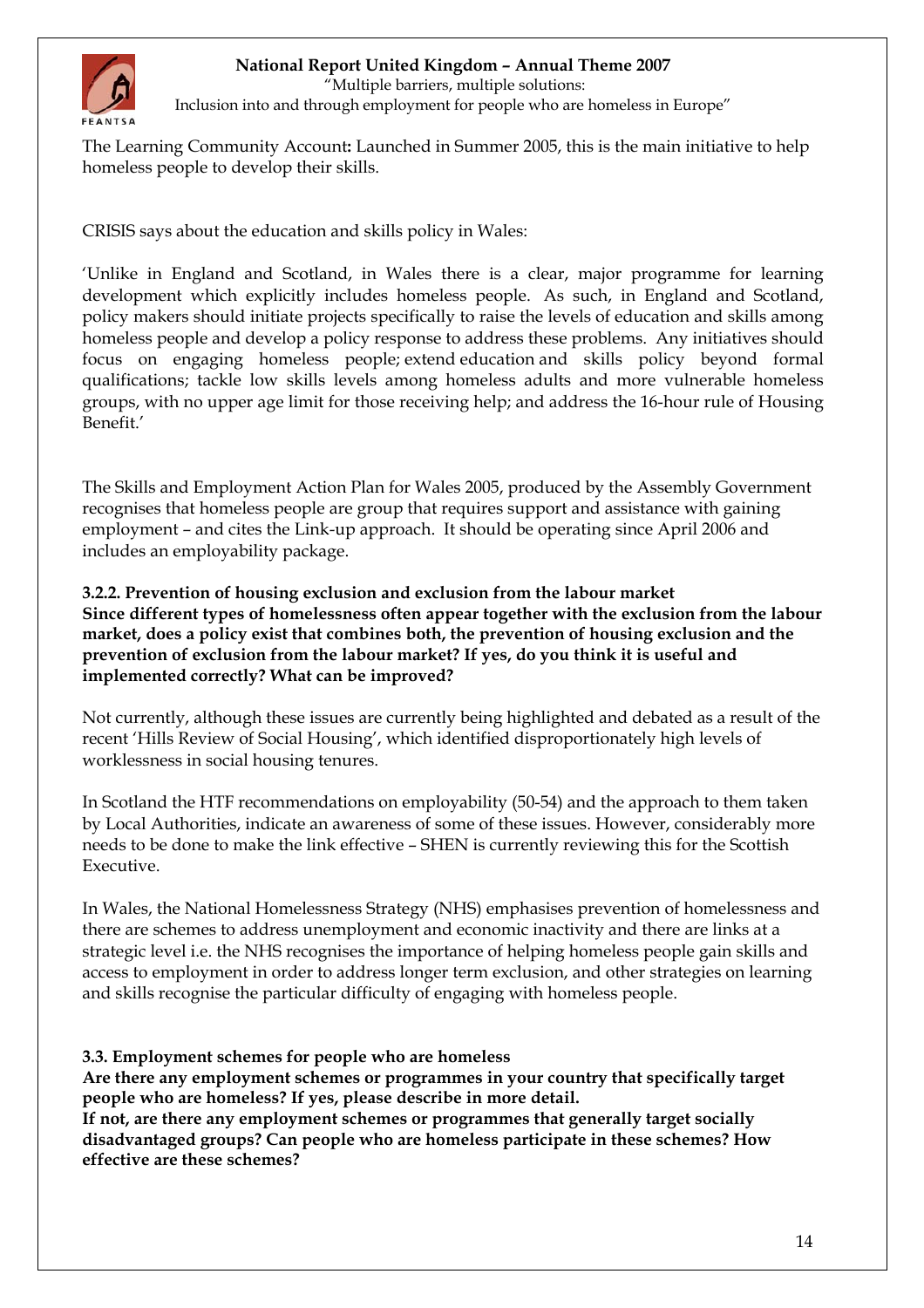

"Multiple barriers, multiple solutions:

Inclusion into and through employment for people who are homeless in Europe"

The Learning Community Account**:** Launched in Summer 2005, this is the main initiative to help homeless people to develop their skills.

CRISIS says about the education and skills policy in Wales:

'Unlike in England and Scotland, in Wales there is a clear, major programme for learning development which explicitly includes homeless people. As such, in England and Scotland, policy makers should initiate projects specifically to raise the levels of education and skills among homeless people and develop a policy response to address these problems. Any initiatives should focus on engaging homeless people; extend education and skills policy beyond formal qualifications; tackle low skills levels among homeless adults and more vulnerable homeless groups, with no upper age limit for those receiving help; and address the 16-hour rule of Housing Benefit.'

The Skills and Employment Action Plan for Wales 2005, produced by the Assembly Government recognises that homeless people are group that requires support and assistance with gaining employment – and cites the Link-up approach. It should be operating since April 2006 and includes an employability package.

**3.2.2. Prevention of housing exclusion and exclusion from the labour market Since different types of homelessness often appear together with the exclusion from the labour market, does a policy exist that combines both, the prevention of housing exclusion and the prevention of exclusion from the labour market? If yes, do you think it is useful and implemented correctly? What can be improved?** 

Not currently, although these issues are currently being highlighted and debated as a result of the recent 'Hills Review of Social Housing', which identified disproportionately high levels of worklessness in social housing tenures.

In Scotland the HTF recommendations on employability (50-54) and the approach to them taken by Local Authorities, indicate an awareness of some of these issues. However, considerably more needs to be done to make the link effective – SHEN is currently reviewing this for the Scottish Executive.

In Wales, the National Homelessness Strategy (NHS) emphasises prevention of homelessness and there are schemes to address unemployment and economic inactivity and there are links at a strategic level i.e. the NHS recognises the importance of helping homeless people gain skills and access to employment in order to address longer term exclusion, and other strategies on learning and skills recognise the particular difficulty of engaging with homeless people.

### **3.3. Employment schemes for people who are homeless**

**Are there any employment schemes or programmes in your country that specifically target people who are homeless? If yes, please describe in more detail.** 

**If not, are there any employment schemes or programmes that generally target socially disadvantaged groups? Can people who are homeless participate in these schemes? How effective are these schemes?**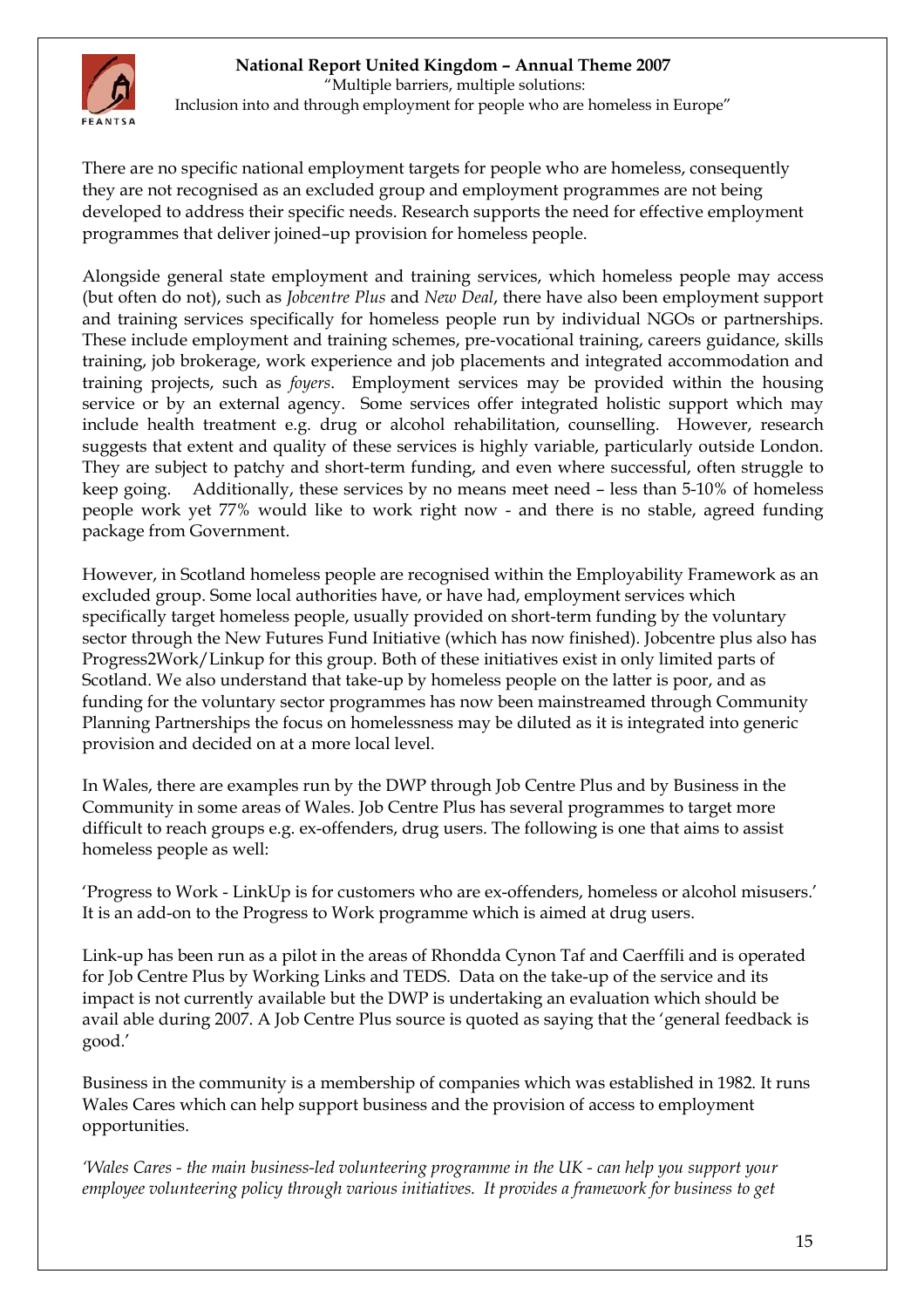

 "Multiple barriers, multiple solutions: Inclusion into and through employment for people who are homeless in Europe"

There are no specific national employment targets for people who are homeless, consequently they are not recognised as an excluded group and employment programmes are not being developed to address their specific needs. Research supports the need for effective employment programmes that deliver joined–up provision for homeless people.

Alongside general state employment and training services, which homeless people may access (but often do not), such as *Jobcentre Plus* and *New Deal*, there have also been employment support and training services specifically for homeless people run by individual NGOs or partnerships. These include employment and training schemes, pre-vocational training, careers guidance, skills training, job brokerage, work experience and job placements and integrated accommodation and training projects, such as *foyers*. Employment services may be provided within the housing service or by an external agency. Some services offer integrated holistic support which may include health treatment e.g. drug or alcohol rehabilitation, counselling. However, research suggests that extent and quality of these services is highly variable, particularly outside London. They are subject to patchy and short-term funding, and even where successful, often struggle to keep going. Additionally, these services by no means meet need – less than 5-10% of homeless people work yet 77% would like to work right now - and there is no stable, agreed funding package from Government.

However, in Scotland homeless people are recognised within the Employability Framework as an excluded group. Some local authorities have, or have had, employment services which specifically target homeless people, usually provided on short-term funding by the voluntary sector through the New Futures Fund Initiative (which has now finished). Jobcentre plus also has Progress2Work/Linkup for this group. Both of these initiatives exist in only limited parts of Scotland. We also understand that take-up by homeless people on the latter is poor, and as funding for the voluntary sector programmes has now been mainstreamed through Community Planning Partnerships the focus on homelessness may be diluted as it is integrated into generic provision and decided on at a more local level.

In Wales, there are examples run by the DWP through Job Centre Plus and by Business in the Community in some areas of Wales. Job Centre Plus has several programmes to target more difficult to reach groups e.g. ex-offenders, drug users. The following is one that aims to assist homeless people as well:

'Progress to Work - LinkUp is for customers who are ex-offenders, homeless or alcohol misusers.' It is an add-on to the Progress to Work programme which is aimed at drug users.

Link-up has been run as a pilot in the areas of Rhondda Cynon Taf and Caerffili and is operated for Job Centre Plus by Working Links and TEDS. Data on the take-up of the service and its impact is not currently available but the DWP is undertaking an evaluation which should be avail able during 2007. A Job Centre Plus source is quoted as saying that the 'general feedback is good.'

Business in the community is a membership of companies which was established in 1982. It runs Wales Cares which can help support business and the provision of access to employment opportunities.

*'Wales Cares - the main business-led volunteering programme in the UK - can help you support your employee volunteering policy through various initiatives. It provides a framework for business to get*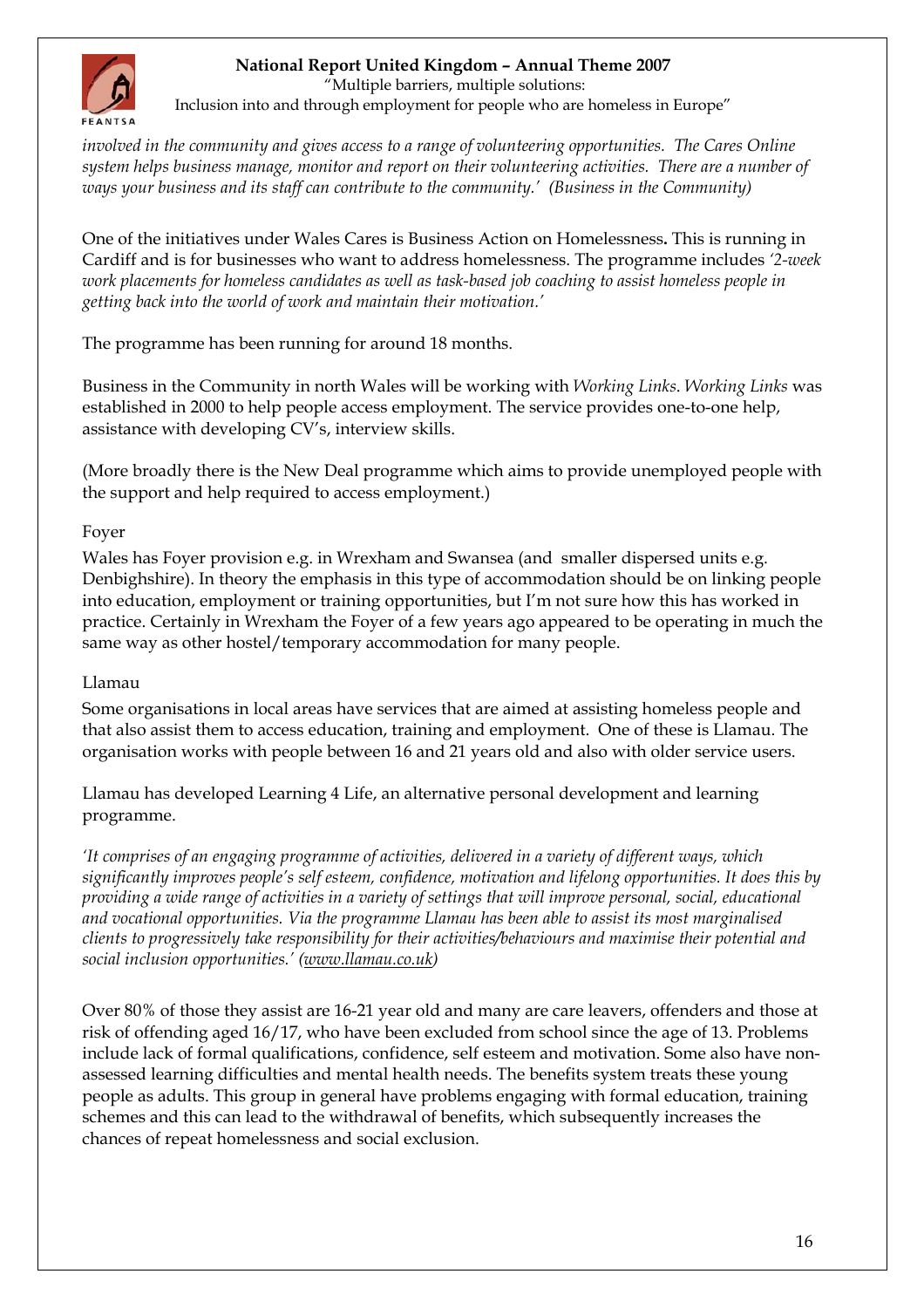

"Multiple barriers, multiple solutions:

Inclusion into and through employment for people who are homeless in Europe"

*involved in the community and gives access to a range of volunteering opportunities. The Cares Online system helps business manage, monitor and report on their volunteering activities. There are a number of ways your business and its staff can contribute to the community.' (Business in the Community)* 

One of the initiatives under Wales Cares is Business Action on Homelessness**.** This is running in Cardiff and is for businesses who want to address homelessness. The programme includes *'2-week work placements for homeless candidates as well as task-based job coaching to assist homeless people in getting back into the world of work and maintain their motivation.'* 

The programme has been running for around 18 months.

Business in the Community in north Wales will be working with *Working Links*. *Working Links* was established in 2000 to help people access employment. The service provides one-to-one help, assistance with developing CV's, interview skills.

(More broadly there is the New Deal programme which aims to provide unemployed people with the support and help required to access employment.)

### Foyer

Wales has Foyer provision e.g. in Wrexham and Swansea (and smaller dispersed units e.g. Denbighshire). In theory the emphasis in this type of accommodation should be on linking people into education, employment or training opportunities, but I'm not sure how this has worked in practice. Certainly in Wrexham the Foyer of a few years ago appeared to be operating in much the same way as other hostel/temporary accommodation for many people.

#### Llamau

Some organisations in local areas have services that are aimed at assisting homeless people and that also assist them to access education, training and employment. One of these is Llamau. The organisation works with people between 16 and 21 years old and also with older service users.

Llamau has developed Learning 4 Life, an alternative personal development and learning programme.

*'It comprises of an engaging programme of activities, delivered in a variety of different ways, which significantly improves people's self esteem, confidence, motivation and lifelong opportunities. It does this by providing a wide range of activities in a variety of settings that will improve personal, social, educational and vocational opportunities. Via the programme Llamau has been able to assist its most marginalised clients to progressively take responsibility for their activities/behaviours and maximise their potential and social inclusion opportunities.' ([www.llamau.co.uk\)](http://www.llamau.co.uk/)* 

Over 80% of those they assist are 16-21 year old and many are care leavers, offenders and those at risk of offending aged 16/17, who have been excluded from school since the age of 13. Problems include lack of formal qualifications, confidence, self esteem and motivation. Some also have nonassessed learning difficulties and mental health needs. The benefits system treats these young people as adults. This group in general have problems engaging with formal education, training schemes and this can lead to the withdrawal of benefits, which subsequently increases the chances of repeat homelessness and social exclusion.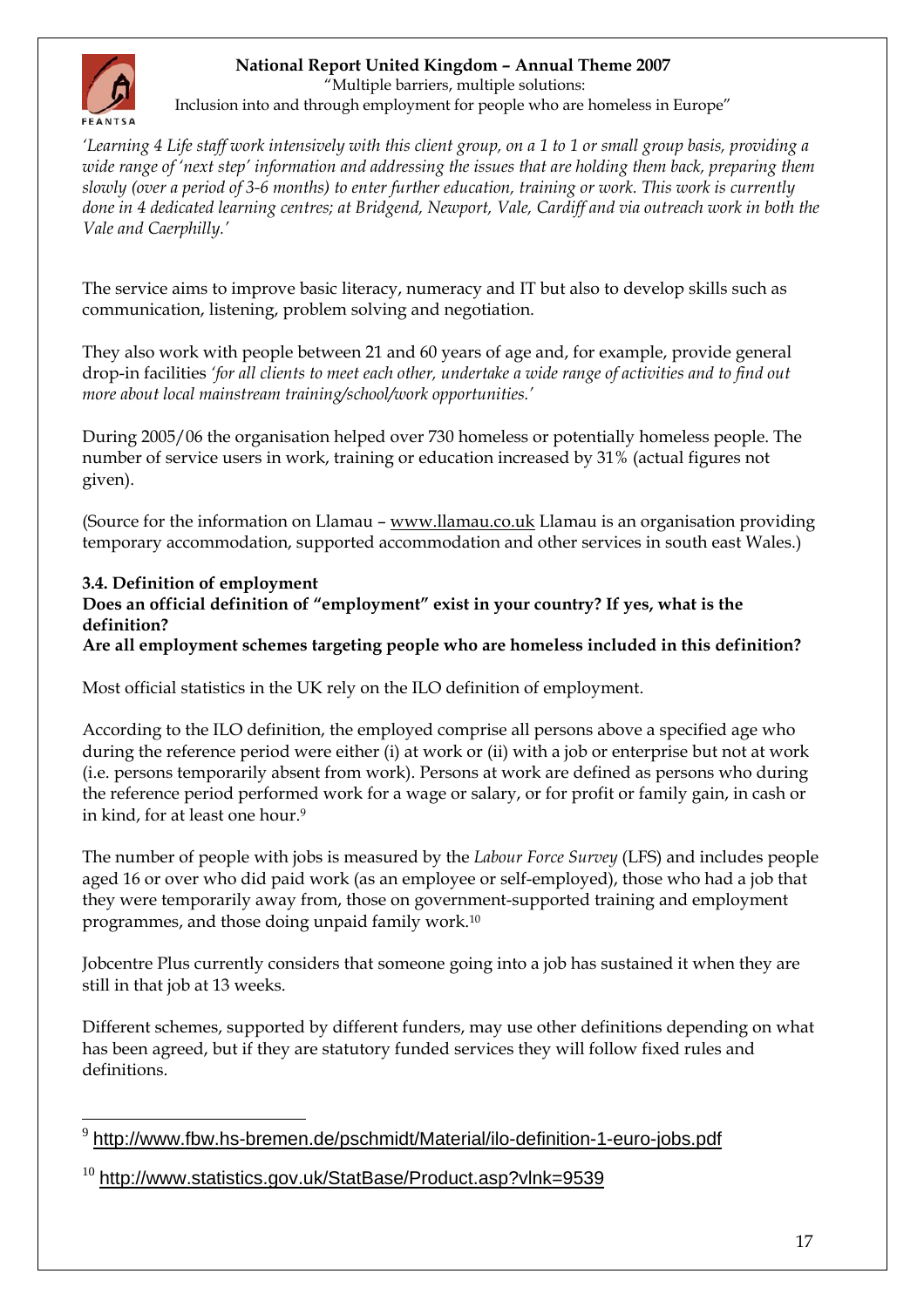

"Multiple barriers, multiple solutions:

Inclusion into and through employment for people who are homeless in Europe"

*'Learning 4 Life staff work intensively with this client group, on a 1 to 1 or small group basis, providing a wide range of 'next step' information and addressing the issues that are holding them back, preparing them slowly (over a period of 3-6 months) to enter further education, training or work. This work is currently done in 4 dedicated learning centres; at Bridgend, Newport, Vale, Cardiff and via outreach work in both the Vale and Caerphilly.'* 

The service aims to improve basic literacy, numeracy and IT but also to develop skills such as communication, listening, problem solving and negotiation.

They also work with people between 21 and 60 years of age and, for example, provide general drop-in facilities *'for all clients to meet each other, undertake a wide range of activities and to find out more about local mainstream training/school/work opportunities.'*

During 2005/06 the organisation helped over 730 homeless or potentially homeless people. The number of service users in work, training or education increased by 31% (actual figures not given).

(Source for the information on Llamau – [www.llamau.co.uk](http://www.llamau.co.uk/) Llamau is an organisation providing temporary accommodation, supported accommodation and other services in south east Wales.)

### **3.4. Definition of employment**

#### **Does an official definition of "employment" exist in your country? If yes, what is the definition?**

### **Are all employment schemes targeting people who are homeless included in this definition?**

Most official statistics in the UK rely on the ILO definition of employment.

According to the ILO definition, the employed comprise all persons above a specified age who during the reference period were either (i) at work or (ii) with a job or enterprise but not at work (i.e. persons temporarily absent from work). Persons at work are defined as persons who during the reference period performed work for a wage or salary, or for profit or family gain, in cash or in kind, for at least one hour.[9](#page-16-0)

The number of people with jobs is measured by the *Labour Force Survey* (LFS) and includes people aged 16 or over who did paid work (as an employee or self-employed), those who had a job that they were temporarily away from, those on government-supported training and employment programmes, and those doing unpaid family work.[10](#page-16-1)

Jobcentre Plus currently considers that someone going into a job has sustained it when they are still in that job at 13 weeks.

Different schemes, supported by different funders, may use other definitions depending on what has been agreed, but if they are statutory funded services they will follow fixed rules and definitions.

<span id="page-16-0"></span> $\overline{a}$ <http://www.fbw.hs-bremen.de/pschmidt/Material/ilo-definition-1-euro-jobs.pdf>

<span id="page-16-1"></span> $10$  <http://www.statistics.gov.uk/StatBase/Product.asp?vlnk=9539>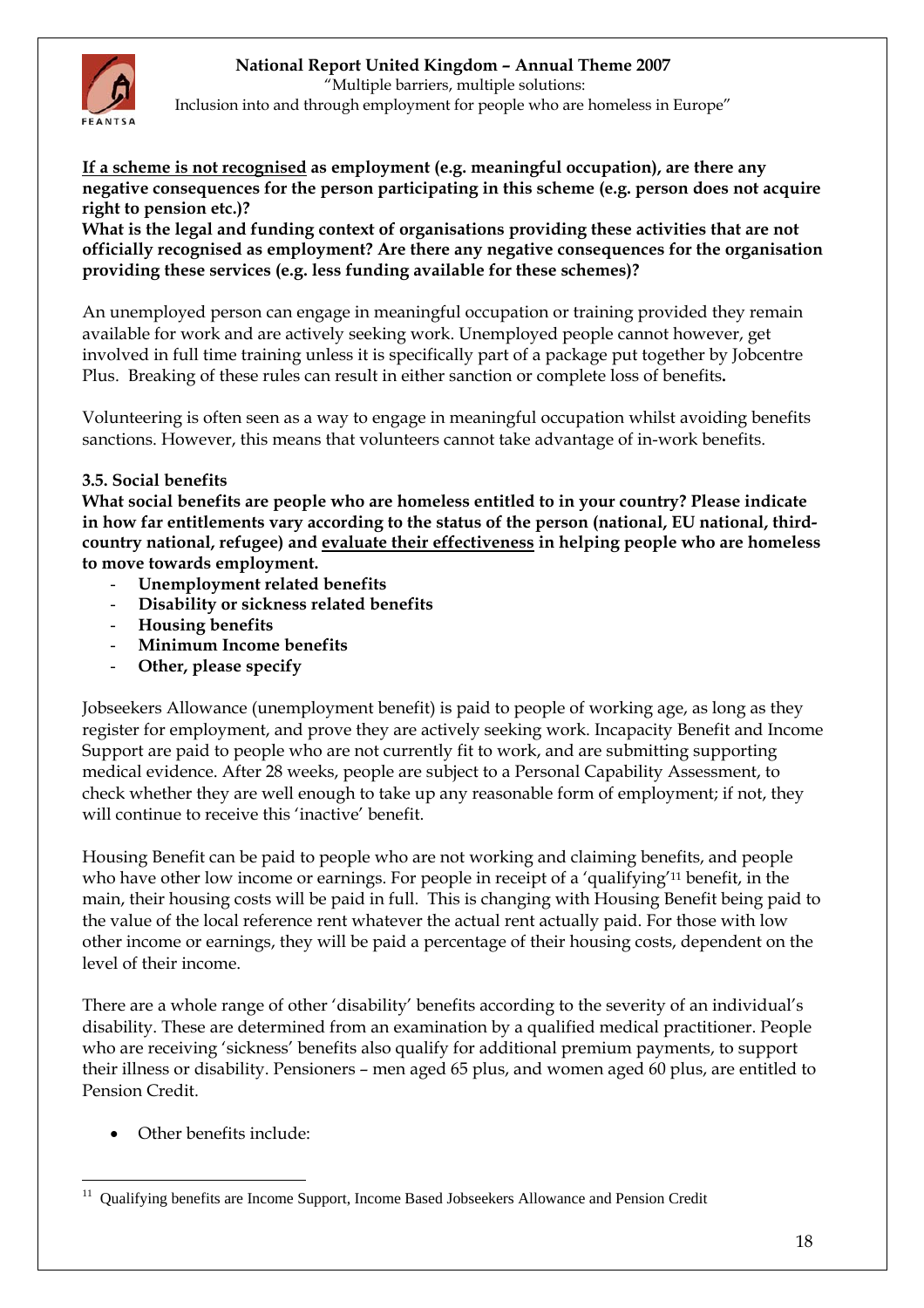

 "Multiple barriers, multiple solutions: Inclusion into and through employment for people who are homeless in Europe"

**If a scheme is not recognised as employment (e.g. meaningful occupation), are there any negative consequences for the person participating in this scheme (e.g. person does not acquire right to pension etc.)?** 

**What is the legal and funding context of organisations providing these activities that are not officially recognised as employment? Are there any negative consequences for the organisation providing these services (e.g. less funding available for these schemes)?** 

An unemployed person can engage in meaningful occupation or training provided they remain available for work and are actively seeking work. Unemployed people cannot however, get involved in full time training unless it is specifically part of a package put together by Jobcentre Plus. Breaking of these rules can result in either sanction or complete loss of benefits**.** 

Volunteering is often seen as a way to engage in meaningful occupation whilst avoiding benefits sanctions. However, this means that volunteers cannot take advantage of in-work benefits.

### **3.5. Social benefits**

**What social benefits are people who are homeless entitled to in your country? Please indicate in how far entitlements vary according to the status of the person (national, EU national, thirdcountry national, refugee) and evaluate their effectiveness in helping people who are homeless to move towards employment.** 

- **Unemployment related benefits**
- **Disability or sickness related benefits**
- **Housing benefits**
- **Minimum Income benefits**
- Other, please specify

Jobseekers Allowance (unemployment benefit) is paid to people of working age, as long as they register for employment, and prove they are actively seeking work. Incapacity Benefit and Income Support are paid to people who are not currently fit to work, and are submitting supporting medical evidence. After 28 weeks, people are subject to a Personal Capability Assessment, to check whether they are well enough to take up any reasonable form of employment; if not, they will continue to receive this 'inactive' benefit.

Housing Benefit can be paid to people who are not working and claiming benefits, and people who have other low income or earnings. For people in receipt of a 'qualifying'[11 b](#page-17-0)enefit, in the main, their housing costs will be paid in full. This is changing with Housing Benefit being paid to the value of the local reference rent whatever the actual rent actually paid. For those with low other income or earnings, they will be paid a percentage of their housing costs, dependent on the level of their income.

There are a whole range of other 'disability' benefits according to the severity of an individual's disability. These are determined from an examination by a qualified medical practitioner. People who are receiving 'sickness' benefits also qualify for additional premium payments, to support their illness or disability. Pensioners – men aged 65 plus, and women aged 60 plus, are entitled to Pension Credit.

• Other benefits include:

<span id="page-17-0"></span> $\overline{a}$ 11 Qualifying benefits are Income Support, Income Based Jobseekers Allowance and Pension Credit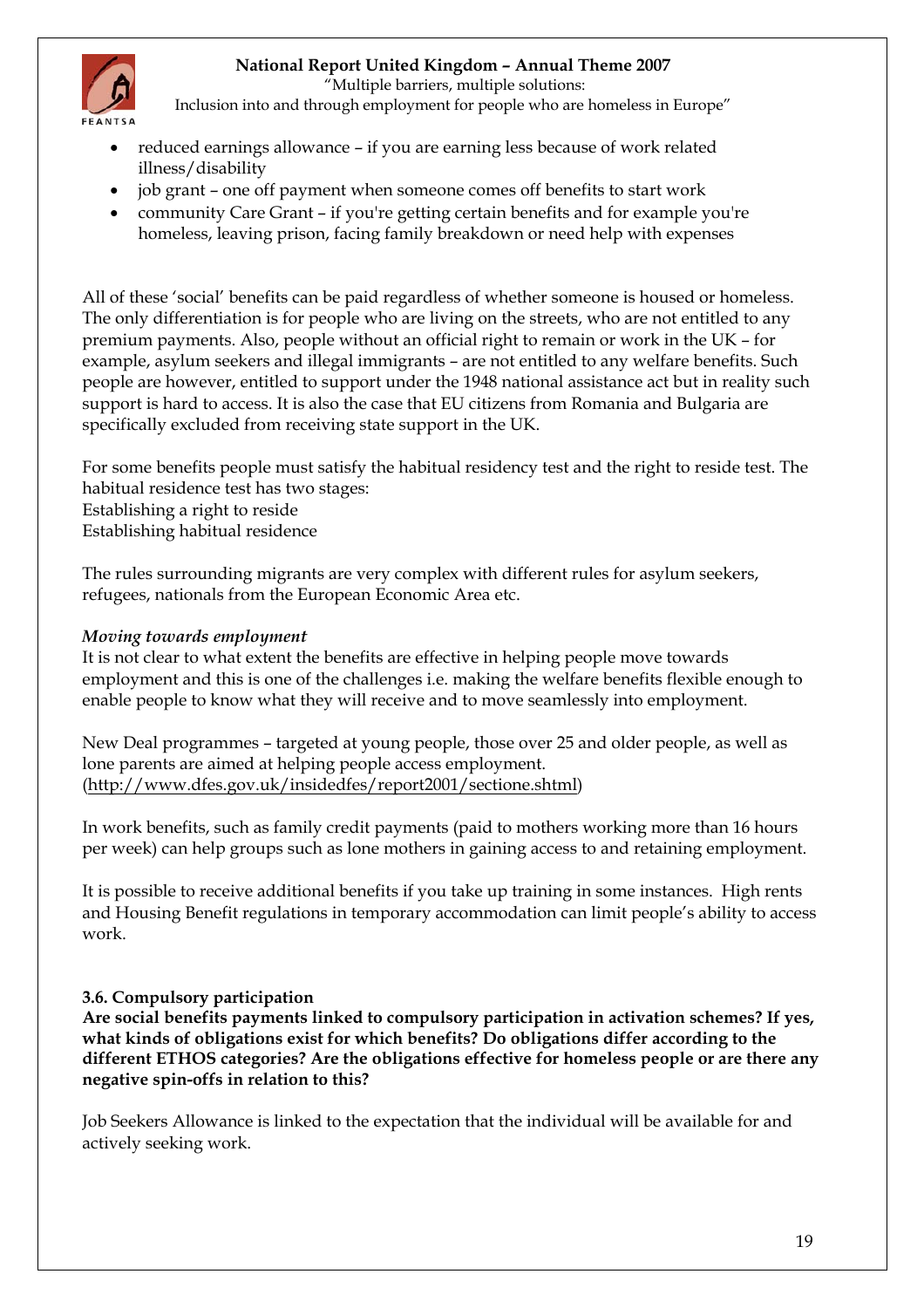

"Multiple barriers, multiple solutions:

Inclusion into and through employment for people who are homeless in Europe"

- reduced earnings allowance if you are earning less because of work related illness/disability
- job grant one off payment when someone comes off benefits to start work
- community Care Grant if you're getting certain benefits and for example you're homeless, leaving prison, facing family breakdown or need help with expenses

All of these 'social' benefits can be paid regardless of whether someone is housed or homeless. The only differentiation is for people who are living on the streets, who are not entitled to any premium payments. Also, people without an official right to remain or work in the UK – for example, asylum seekers and illegal immigrants – are not entitled to any welfare benefits. Such people are however, entitled to support under the 1948 national assistance act but in reality such support is hard to access. It is also the case that EU citizens from Romania and Bulgaria are specifically excluded from receiving state support in the UK.

For some benefits people must satisfy the habitual residency test and the right to reside test. The habitual residence test has two stages: Establishing a right to reside Establishing habitual residence

The rules surrounding migrants are very complex with different rules for asylum seekers, refugees, nationals from the European Economic Area etc.

#### *Moving towards employment*

It is not clear to what extent the benefits are effective in helping people move towards employment and this is one of the challenges i.e. making the welfare benefits flexible enough to enable people to know what they will receive and to move seamlessly into employment.

New Deal programmes – targeted at young people, those over 25 and older people, as well as lone parents are aimed at helping people access employment. ([http://www.dfes.gov.uk/insidedfes/report2001/sectione.shtml\)](http://www.dfes.gov.uk/insidedfes/report2001/sectione.shtml)

In work benefits, such as family credit payments (paid to mothers working more than 16 hours per week) can help groups such as lone mothers in gaining access to and retaining employment.

It is possible to receive additional benefits if you take up training in some instances. High rents and Housing Benefit regulations in temporary accommodation can limit people's ability to access work.

#### **3.6. Compulsory participation**

**Are social benefits payments linked to compulsory participation in activation schemes? If yes, what kinds of obligations exist for which benefits? Do obligations differ according to the different ETHOS categories? Are the obligations effective for homeless people or are there any negative spin-offs in relation to this?** 

Job Seekers Allowance is linked to the expectation that the individual will be available for and actively seeking work.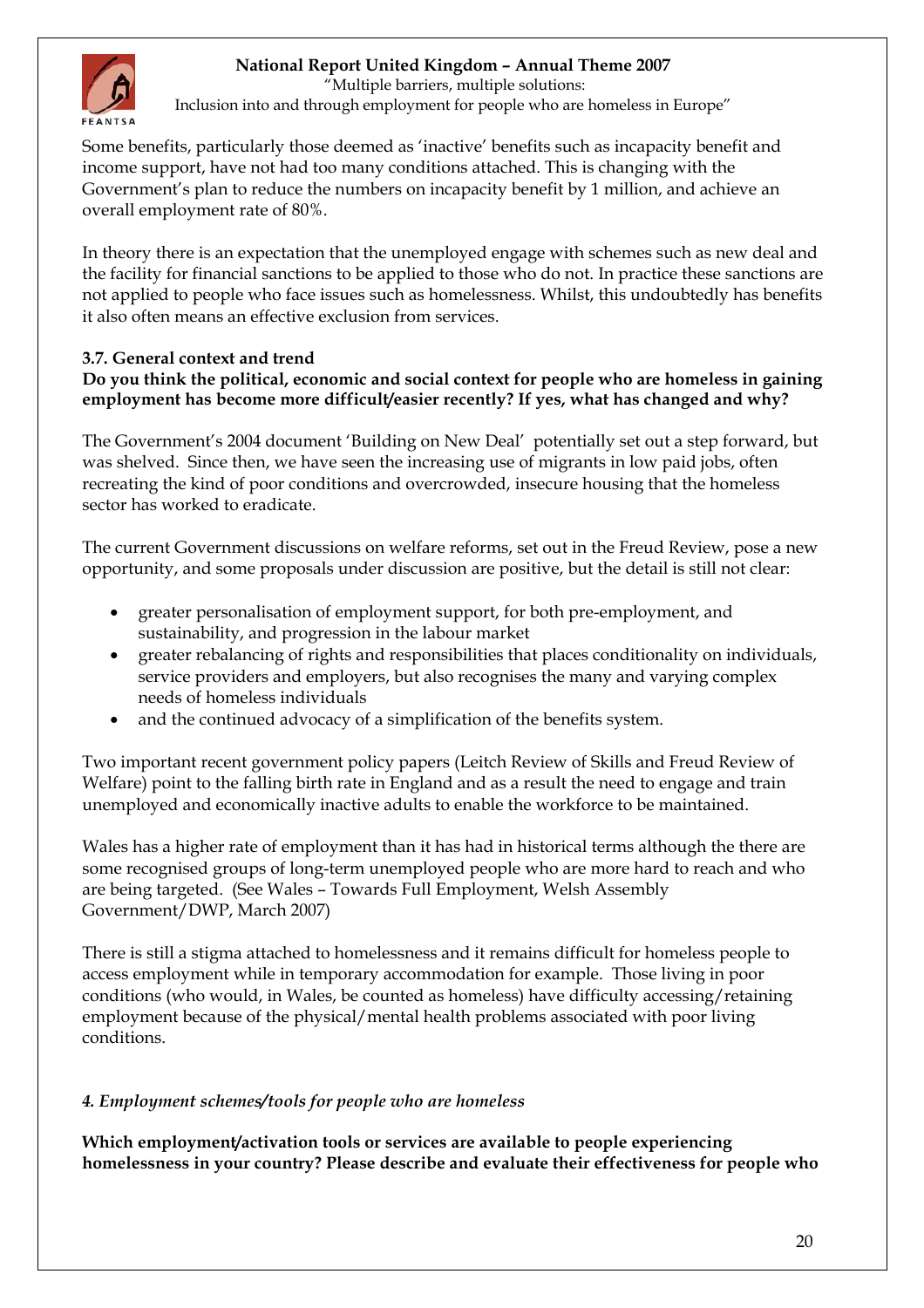<span id="page-19-0"></span>

"Multiple barriers, multiple solutions:

Inclusion into and through employment for people who are homeless in Europe"

Some benefits, particularly those deemed as 'inactive' benefits such as incapacity benefit and income support, have not had too many conditions attached. This is changing with the Government's plan to reduce the numbers on incapacity benefit by 1 million, and achieve an overall employment rate of 80%.

In theory there is an expectation that the unemployed engage with schemes such as new deal and the facility for financial sanctions to be applied to those who do not. In practice these sanctions are not applied to people who face issues such as homelessness. Whilst, this undoubtedly has benefits it also often means an effective exclusion from services.

#### **3.7. General context and trend Do you think the political, economic and social context for people who are homeless in gaining employment has become more difficult/easier recently? If yes, what has changed and why?**

The Government's 2004 document 'Building on New Deal' potentially set out a step forward, but was shelved. Since then, we have seen the increasing use of migrants in low paid jobs, often recreating the kind of poor conditions and overcrowded, insecure housing that the homeless sector has worked to eradicate.

The current Government discussions on welfare reforms, set out in the Freud Review, pose a new opportunity, and some proposals under discussion are positive, but the detail is still not clear:

- greater personalisation of employment support, for both pre-employment, and sustainability, and progression in the labour market
- greater rebalancing of rights and responsibilities that places conditionality on individuals, service providers and employers, but also recognises the many and varying complex needs of homeless individuals
- and the continued advocacy of a simplification of the benefits system.

Two important recent government policy papers (Leitch Review of Skills and Freud Review of Welfare) point to the falling birth rate in England and as a result the need to engage and train unemployed and economically inactive adults to enable the workforce to be maintained.

Wales has a higher rate of employment than it has had in historical terms although the there are some recognised groups of long-term unemployed people who are more hard to reach and who are being targeted. (See Wales – Towards Full Employment, Welsh Assembly Government/DWP, March 2007)

There is still a stigma attached to homelessness and it remains difficult for homeless people to access employment while in temporary accommodation for example. Those living in poor conditions (who would, in Wales, be counted as homeless) have difficulty accessing/retaining employment because of the physical/mental health problems associated with poor living conditions.

# *4. Employment schemes/tools for people who are homeless*

**Which employment/activation tools or services are available to people experiencing homelessness in your country? Please describe and evaluate their effectiveness for people who**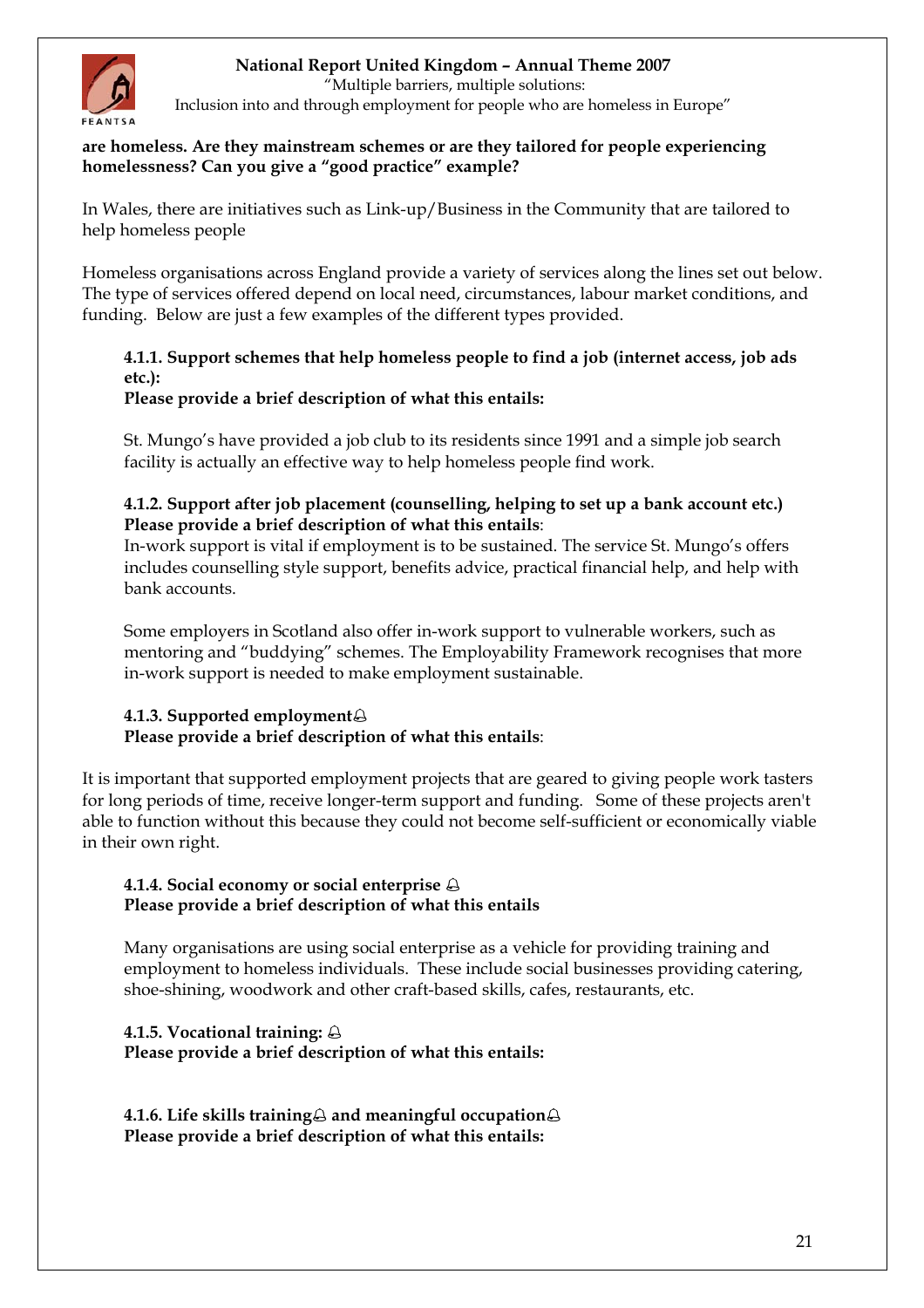

"Multiple barriers, multiple solutions:

Inclusion into and through employment for people who are homeless in Europe"

#### **are homeless. Are they mainstream schemes or are they tailored for people experiencing homelessness? Can you give a "good practice" example?**

In Wales, there are initiatives such as Link-up/Business in the Community that are tailored to help homeless people

Homeless organisations across England provide a variety of services along the lines set out below. The type of services offered depend on local need, circumstances, labour market conditions, and funding. Below are just a few examples of the different types provided.

### **4.1.1. Support schemes that help homeless people to find a job (internet access, job ads etc.):**

### **Please provide a brief description of what this entails:**

St. Mungo's have provided a job club to its residents since 1991 and a simple job search facility is actually an effective way to help homeless people find work.

### **4.1.2. Support after job placement (counselling, helping to set up a bank account etc.) Please provide a brief description of what this entails**:

In-work support is vital if employment is to be sustained. The service St. Mungo's offers includes counselling style support, benefits advice, practical financial help, and help with bank accounts.

Some employers in Scotland also offer in-work support to vulnerable workers, such as mentoring and "buddying" schemes. The Employability Framework recognises that more in-work support is needed to make employment sustainable.

### **4.1.3. Supported employment Please provide a brief description of what this entails**:

It is important that supported employment projects that are geared to giving people work tasters for long periods of time, receive longer-term support and funding. Some of these projects aren't able to function without this because they could not become self-sufficient or economically viable in their own right.

### **4.1.4. Social economy or social enterprise Please provide a brief description of what this entails**

Many organisations are using social enterprise as a vehicle for providing training and employment to homeless individuals. These include social businesses providing catering, shoe-shining, woodwork and other craft-based skills, cafes, restaurants, etc.

### **4.1.5. Vocational training: Please provide a brief description of what this entails:**

4.1.6. Life skills training<sup>2</sup> and meaningful occupation<sup>2</sup> **Please provide a brief description of what this entails:**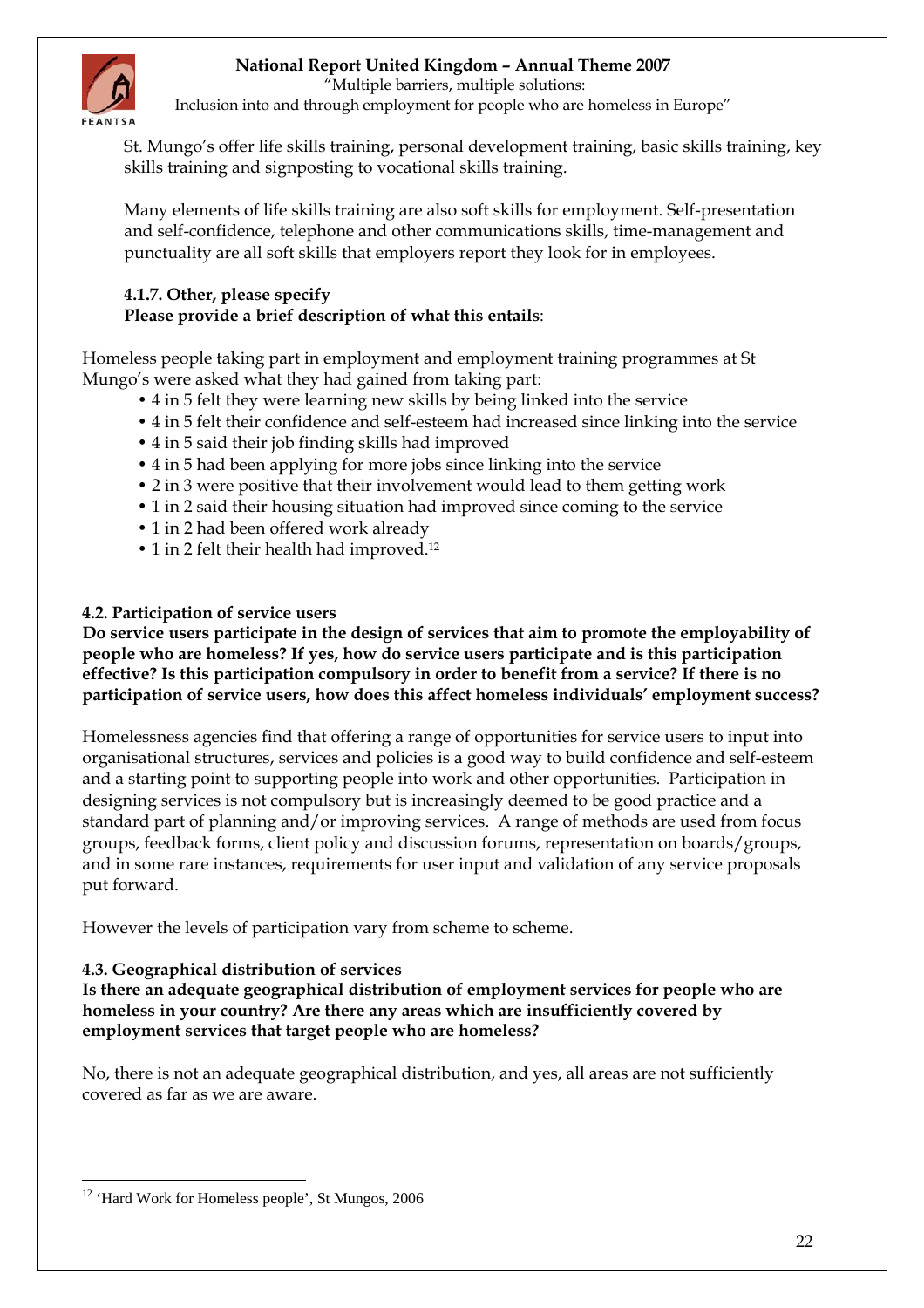"Multiple barriers, multiple solutions:



Inclusion into and through employment for people who are homeless in Europe"

St. Mungo's offer life skills training, personal development training, basic skills training, key skills training and signposting to vocational skills training.

Many elements of life skills training are also soft skills for employment. Self-presentation and self-confidence, telephone and other communications skills, time-management and punctuality are all soft skills that employers report they look for in employees.

### **4.1.7. Other, please specify Please provide a brief description of what this entails**:

Homeless people taking part in employment and employment training programmes at St Mungo's were asked what they had gained from taking part:

- 4 in 5 felt they were learning new skills by being linked into the service
- 4 in 5 felt their confidence and self-esteem had increased since linking into the service
- 4 in 5 said their job finding skills had improved
- 4 in 5 had been applying for more jobs since linking into the service
- 2 in 3 were positive that their involvement would lead to them getting work
- 1 in 2 said their housing situation had improved since coming to the service
- 1 in 2 had been offered work already
- 1 in 2 felt their health had improved.<sup>12</sup>

### **4.2. Participation of service users**

**Do service users participate in the design of services that aim to promote the employability of people who are homeless? If yes, how do service users participate and is this participation effective? Is this participation compulsory in order to benefit from a service? If there is no participation of service users, how does this affect homeless individuals' employment success?** 

Homelessness agencies find that offering a range of opportunities for service users to input into organisational structures, services and policies is a good way to build confidence and self-esteem and a starting point to supporting people into work and other opportunities. Participation in designing services is not compulsory but is increasingly deemed to be good practice and a standard part of planning and/or improving services. A range of methods are used from focus groups, feedback forms, client policy and discussion forums, representation on boards/groups, and in some rare instances, requirements for user input and validation of any service proposals put forward.

However the levels of participation vary from scheme to scheme.

### **4.3. Geographical distribution of services**

**Is there an adequate geographical distribution of employment services for people who are homeless in your country? Are there any areas which are insufficiently covered by employment services that target people who are homeless?** 

No, there is not an adequate geographical distribution, and yes, all areas are not sufficiently covered as far as we are aware.

<span id="page-21-0"></span> $\overline{a}$ <sup>12</sup> 'Hard Work for Homeless people', St Mungos, 2006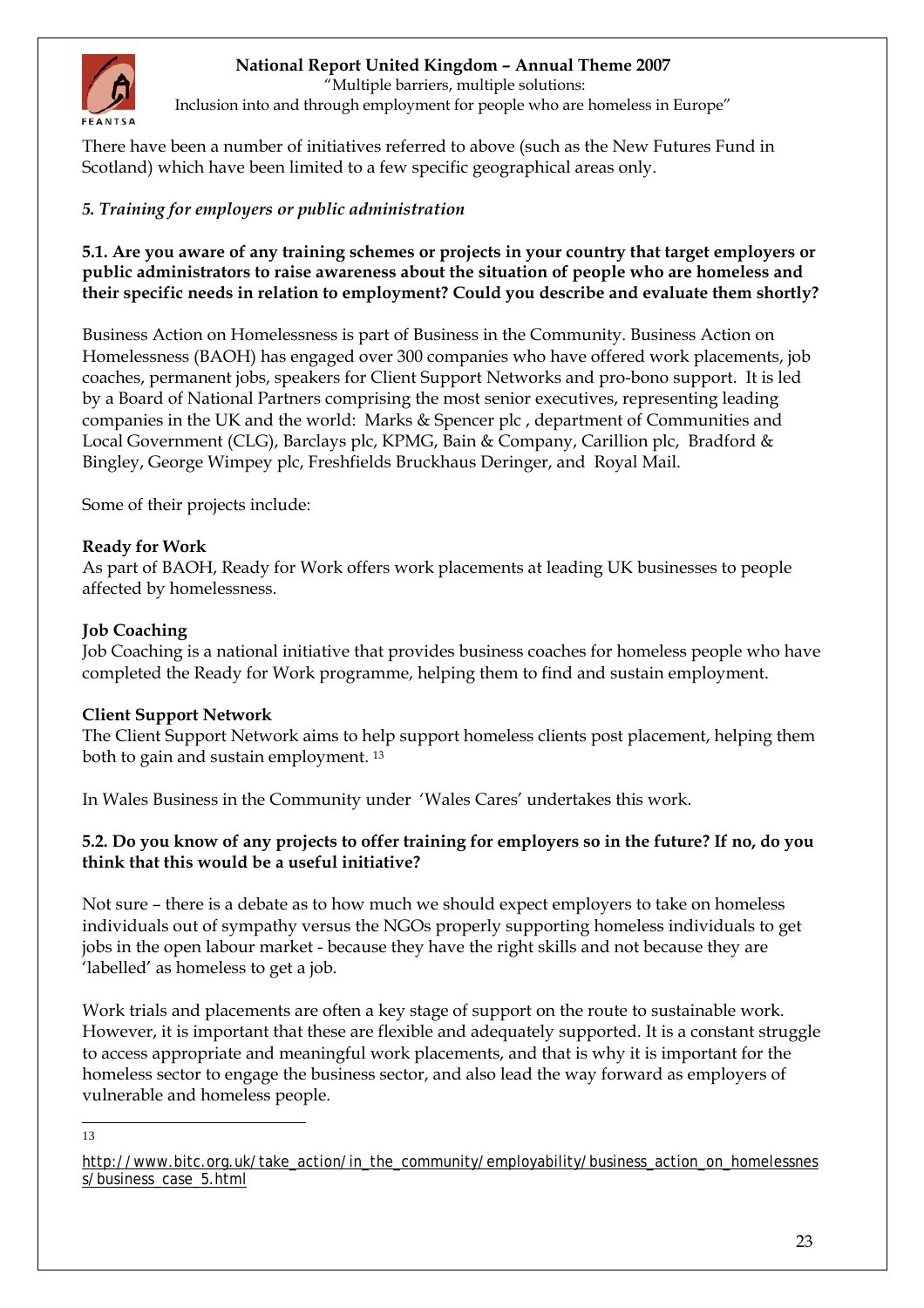<span id="page-22-0"></span>

"Multiple barriers, multiple solutions:

Inclusion into and through employment for people who are homeless in Europe"

There have been a number of initiatives referred to above (such as the New Futures Fund in Scotland) which have been limited to a few specific geographical areas only.

### *5. Training for employers or public administration*

**5.1. Are you aware of any training schemes or projects in your country that target employers or public administrators to raise awareness about the situation of people who are homeless and their specific needs in relation to employment? Could you describe and evaluate them shortly?** 

Business Action on Homelessness is part of Business in the Community. Business Action on Homelessness (BAOH) has engaged over 300 companies who have offered work placements, job coaches, permanent jobs, speakers for Client Support Networks and pro-bono support. It is led by a Board of National Partners comprising the most senior executives, representing leading companies in the UK and the world: Marks & Spencer plc , department of Communities and Local Government (CLG), Barclays plc, KPMG, Bain & Company, Carillion plc, Bradford & Bingley, George Wimpey plc, Freshfields Bruckhaus Deringer, and Royal Mail.

Some of their projects include:

### **Ready for Work**

As part of BAOH, Ready for Work offers work placements at leading UK businesses to people affected by homelessness.

#### **Job Coaching**

Job Coaching is a national initiative that provides business coaches for homeless people who have completed the Ready for Work programme, helping them to find and sustain employment.

#### **Client Support Network**

The Client Support Network aims to help support homeless clients post placement, helping them both to gain and sustain employment. [13](#page-22-1)

In Wales Business in the Community under 'Wales Cares' undertakes this work.

### **5.2. Do you know of any projects to offer training for employers so in the future? If no, do you think that this would be a useful initiative?**

Not sure – there is a debate as to how much we should expect employers to take on homeless individuals out of sympathy versus the NGOs properly supporting homeless individuals to get jobs in the open labour market - because they have the right skills and not because they are 'labelled' as homeless to get a job.

Work trials and placements are often a key stage of support on the route to sustainable work. However, it is important that these are flexible and adequately supported. It is a constant struggle to access appropriate and meaningful work placements, and that is why it is important for the homeless sector to engage the business sector, and also lead the way forward as employers of vulnerable and homeless people.

<span id="page-22-1"></span> $\overline{a}$ 13

[http://www.bitc.org.uk/take\\_action/in\\_the\\_community/employability/business\\_action\\_on\\_homelessnes](http://www.bitc.org.uk/take_action/in_the_community/employability/business_action_on_homelessness/business_case_5.html) [s/business\\_case\\_5.html](http://www.bitc.org.uk/take_action/in_the_community/employability/business_action_on_homelessness/business_case_5.html)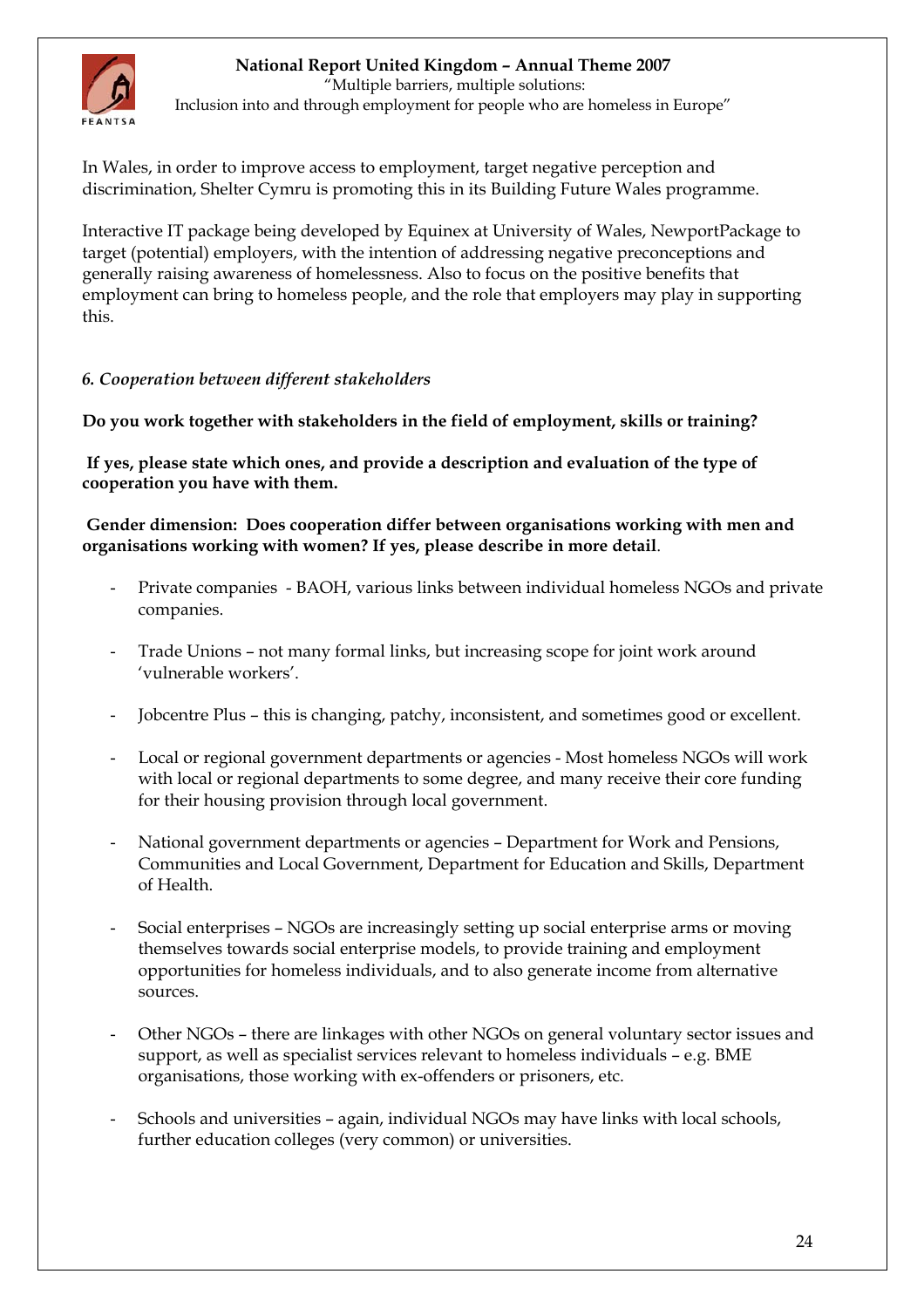<span id="page-23-0"></span>

 "Multiple barriers, multiple solutions: Inclusion into and through employment for people who are homeless in Europe"

In Wales, in order to improve access to employment, target negative perception and discrimination, Shelter Cymru is promoting this in its Building Future Wales programme.

Interactive IT package being developed by Equinex at University of Wales, NewportPackage to target (potential) employers, with the intention of addressing negative preconceptions and generally raising awareness of homelessness. Also to focus on the positive benefits that employment can bring to homeless people, and the role that employers may play in supporting this.

### *6. Cooperation between different stakeholders*

**Do you work together with stakeholders in the field of employment, skills or training?**

**If yes, please state which ones, and provide a description and evaluation of the type of cooperation you have with them.** 

 **Gender dimension: Does cooperation differ between organisations working with men and organisations working with women? If yes, please describe in more detail**.

- Private companies BAOH, various links between individual homeless NGOs and private companies.
- Trade Unions not many formal links, but increasing scope for joint work around 'vulnerable workers'.
- Jobcentre Plus this is changing, patchy, inconsistent, and sometimes good or excellent.
- Local or regional government departments or agencies Most homeless NGOs will work with local or regional departments to some degree, and many receive their core funding for their housing provision through local government.
- National government departments or agencies Department for Work and Pensions, Communities and Local Government, Department for Education and Skills, Department of Health.
- Social enterprises NGOs are increasingly setting up social enterprise arms or moving themselves towards social enterprise models, to provide training and employment opportunities for homeless individuals, and to also generate income from alternative sources.
- Other NGOs there are linkages with other NGOs on general voluntary sector issues and support, as well as specialist services relevant to homeless individuals – e.g. BME organisations, those working with ex-offenders or prisoners, etc.
- Schools and universities again, individual NGOs may have links with local schools, further education colleges (very common) or universities.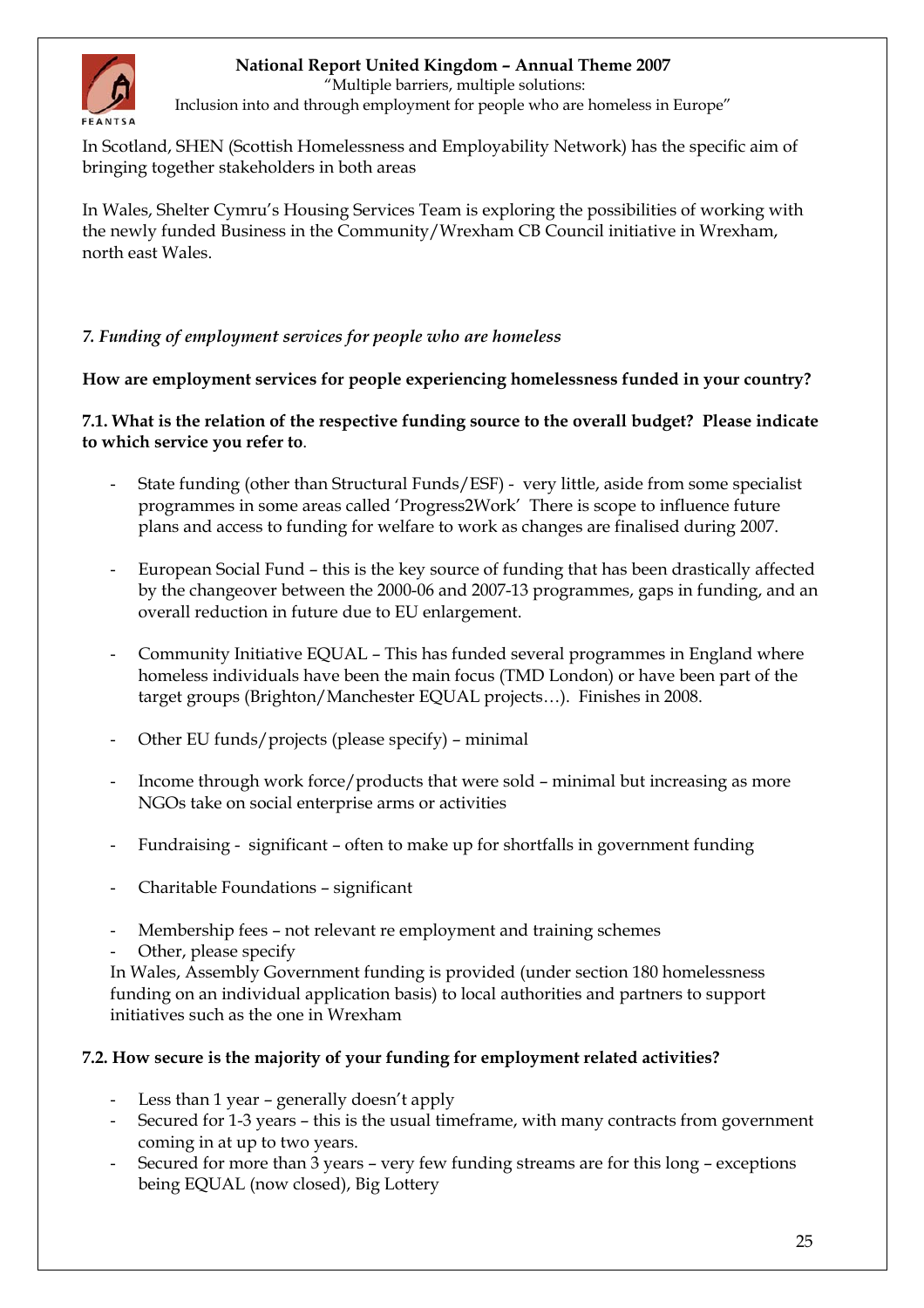<span id="page-24-0"></span>

"Multiple barriers, multiple solutions:

Inclusion into and through employment for people who are homeless in Europe"

In Scotland, SHEN (Scottish Homelessness and Employability Network) has the specific aim of bringing together stakeholders in both areas

In Wales, Shelter Cymru's Housing Services Team is exploring the possibilities of working with the newly funded Business in the Community/Wrexham CB Council initiative in Wrexham, north east Wales.

### *7. Funding of employment services for people who are homeless*

**How are employment services for people experiencing homelessness funded in your country?** 

**7.1. What is the relation of the respective funding source to the overall budget? Please indicate to which service you refer to**.

- State funding (other than Structural Funds/ESF) very little, aside from some specialist programmes in some areas called 'Progress2Work' There is scope to influence future plans and access to funding for welfare to work as changes are finalised during 2007.
- European Social Fund this is the key source of funding that has been drastically affected by the changeover between the 2000-06 and 2007-13 programmes, gaps in funding, and an overall reduction in future due to EU enlargement.
- Community Initiative EQUAL This has funded several programmes in England where homeless individuals have been the main focus (TMD London) or have been part of the target groups (Brighton/Manchester EQUAL projects…). Finishes in 2008.
- Other EU funds/projects (please specify) minimal
- Income through work force/products that were sold minimal but increasing as more NGOs take on social enterprise arms or activities
- Fundraising significant often to make up for shortfalls in government funding
- Charitable Foundations significant
- Membership fees not relevant re employment and training schemes
- Other, please specify

In Wales, Assembly Government funding is provided (under section 180 homelessness funding on an individual application basis) to local authorities and partners to support initiatives such as the one in Wrexham

#### **7.2. How secure is the majority of your funding for employment related activities?**

- Less than 1 year generally doesn't apply
- Secured for 1-3 years this is the usual timeframe, with many contracts from government coming in at up to two years.
- Secured for more than 3 years very few funding streams are for this long exceptions being EQUAL (now closed), Big Lottery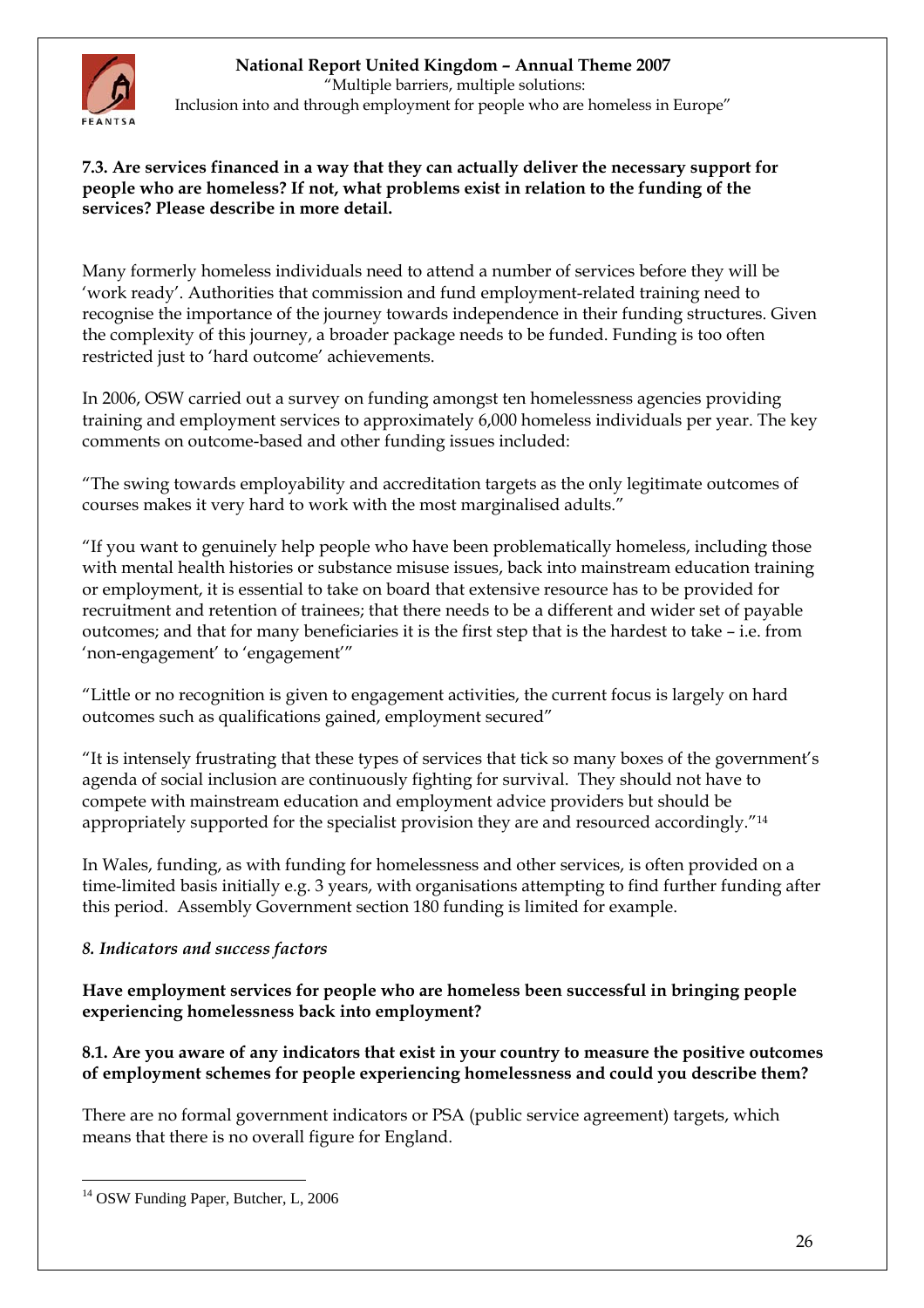<span id="page-25-0"></span>

 "Multiple barriers, multiple solutions: Inclusion into and through employment for people who are homeless in Europe"

### **7.3. Are services financed in a way that they can actually deliver the necessary support for people who are homeless? If not, what problems exist in relation to the funding of the services? Please describe in more detail.**

Many formerly homeless individuals need to attend a number of services before they will be 'work ready'. Authorities that commission and fund employment-related training need to recognise the importance of the journey towards independence in their funding structures. Given the complexity of this journey, a broader package needs to be funded. Funding is too often restricted just to 'hard outcome' achievements.

In 2006, OSW carried out a survey on funding amongst ten homelessness agencies providing training and employment services to approximately 6,000 homeless individuals per year. The key comments on outcome-based and other funding issues included:

"The swing towards employability and accreditation targets as the only legitimate outcomes of courses makes it very hard to work with the most marginalised adults."

"If you want to genuinely help people who have been problematically homeless, including those with mental health histories or substance misuse issues, back into mainstream education training or employment, it is essential to take on board that extensive resource has to be provided for recruitment and retention of trainees; that there needs to be a different and wider set of payable outcomes; and that for many beneficiaries it is the first step that is the hardest to take – i.e. from 'non-engagement' to 'engagement'"

"Little or no recognition is given to engagement activities, the current focus is largely on hard outcomes such as qualifications gained, employment secured"

"It is intensely frustrating that these types of services that tick so many boxes of the government's agenda of social inclusion are continuously fighting for survival. They should not have to compete with mainstream education and employment advice providers but should be appropriately supported for the specialist provision they are and resourced accordingly."<sup>14</sup>

In Wales, funding, as with funding for homelessness and other services, is often provided on a time-limited basis initially e.g. 3 years, with organisations attempting to find further funding after this period. Assembly Government section 180 funding is limited for example.

# *8. Indicators and success factors*

**Have employment services for people who are homeless been successful in bringing people experiencing homelessness back into employment?** 

### **8.1. Are you aware of any indicators that exist in your country to measure the positive outcomes of employment schemes for people experiencing homelessness and could you describe them?**

There are no formal government indicators or PSA (public service agreement) targets, which means that there is no overall figure for England.

<span id="page-25-1"></span> $\overline{a}$ <sup>14</sup> OSW Funding Paper, Butcher, L, 2006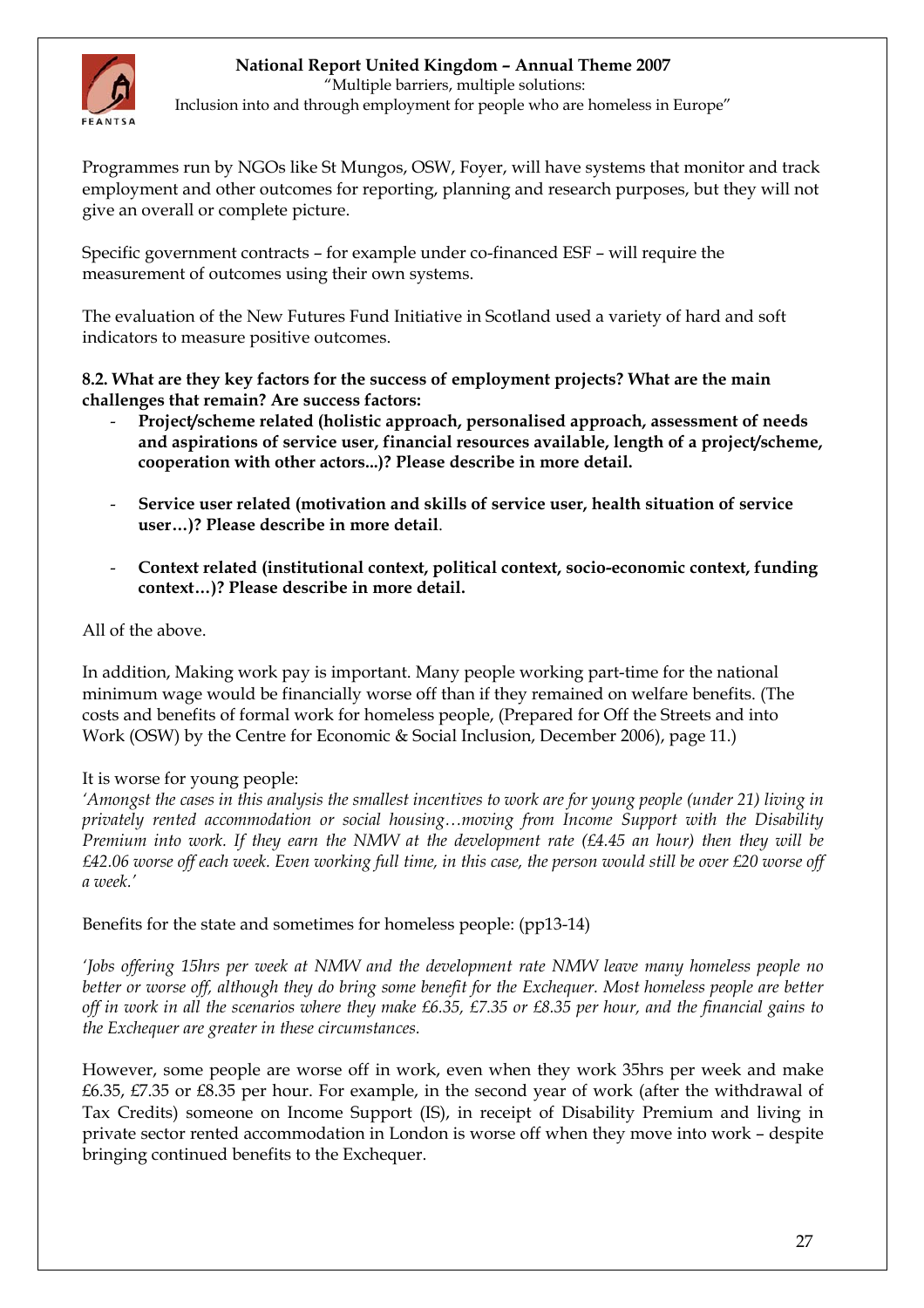

 "Multiple barriers, multiple solutions: Inclusion into and through employment for people who are homeless in Europe"

Programmes run by NGOs like St Mungos, OSW, Foyer, will have systems that monitor and track employment and other outcomes for reporting, planning and research purposes, but they will not give an overall or complete picture.

Specific government contracts – for example under co-financed ESF – will require the measurement of outcomes using their own systems.

The evaluation of the New Futures Fund Initiative in Scotland used a variety of hard and soft indicators to measure positive outcomes.

**8.2. What are they key factors for the success of employment projects? What are the main challenges that remain? Are success factors:** 

- **Project/scheme related (holistic approach, personalised approach, assessment of needs and aspirations of service user, financial resources available, length of a project/scheme, cooperation with other actors...)? Please describe in more detail.**
- **Service user related (motivation and skills of service user, health situation of service user…)? Please describe in more detail**.
- **Context related (institutional context, political context, socio-economic context, funding context…)? Please describe in more detail.**

### All of the above.

In addition, Making work pay is important. Many people working part-time for the national minimum wage would be financially worse off than if they remained on welfare benefits. (The costs and benefits of formal work for homeless people, (Prepared for Off the Streets and into Work (OSW) by the Centre for Economic & Social Inclusion, December 2006), page 11.)

#### It is worse for young people:

*'Amongst the cases in this analysis the smallest incentives to work are for young people (under 21) living in privately rented accommodation or social housing…moving from Income Support with the Disability Premium into work. If they earn the NMW at the development rate (£4.45 an hour) then they will be £42.06 worse off each week. Even working full time, in this case, the person would still be over £20 worse off a week.'*

Benefits for the state and sometimes for homeless people: (pp13-14)

*'Jobs offering 15hrs per week at NMW and the development rate NMW leave many homeless people no better or worse off, although they do bring some benefit for the Exchequer. Most homeless people are better off in work in all the scenarios where they make £6.35, £7.35 or £8.35 per hour, and the financial gains to the Exchequer are greater in these circumstances.* 

However, some people are worse off in work, even when they work 35hrs per week and make £6.35, £7.35 or £8.35 per hour. For example, in the second year of work (after the withdrawal of Tax Credits) someone on Income Support (IS), in receipt of Disability Premium and living in private sector rented accommodation in London is worse off when they move into work – despite bringing continued benefits to the Exchequer.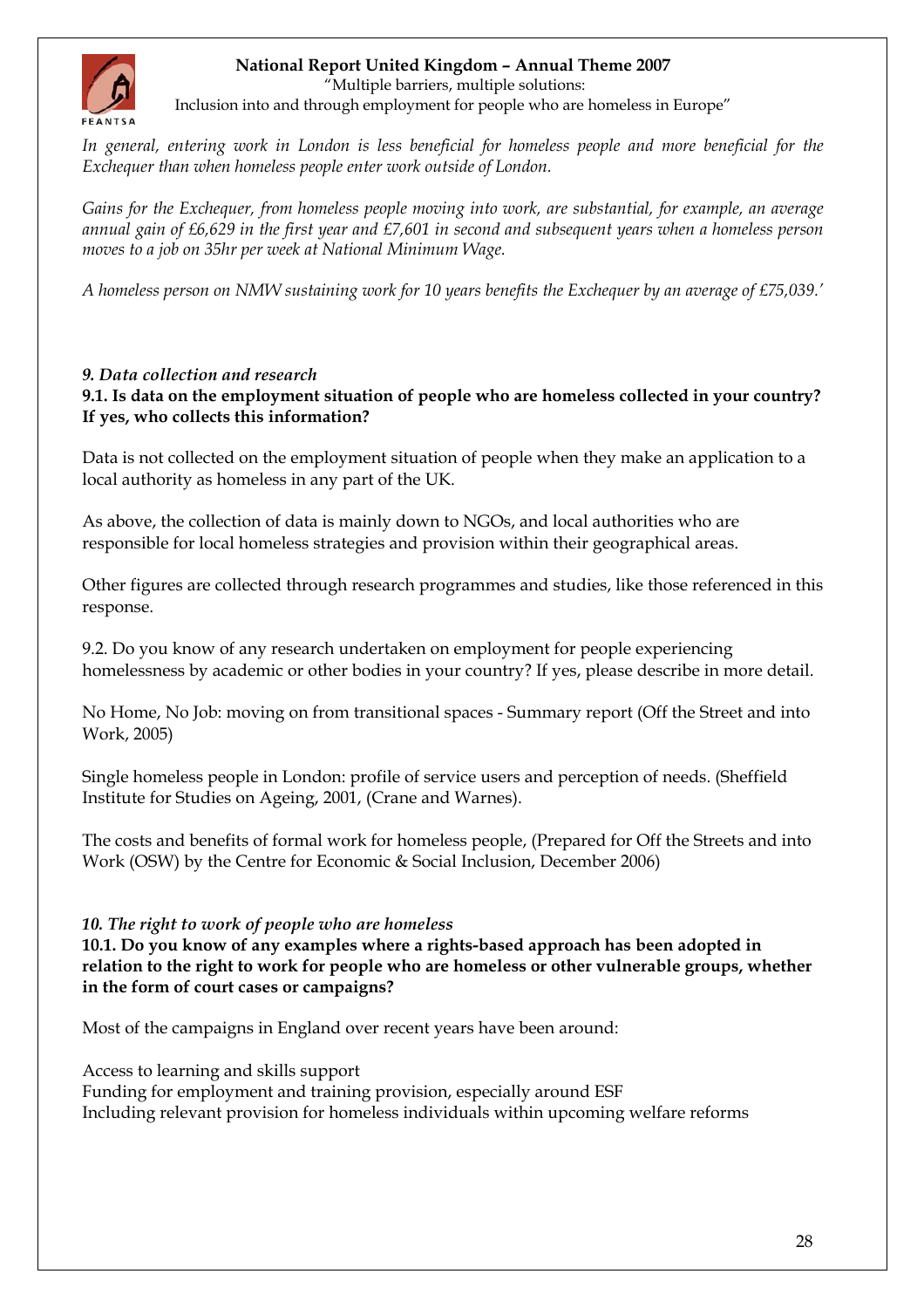<span id="page-27-0"></span>

"Multiple barriers, multiple solutions:

Inclusion into and through employment for people who are homeless in Europe"

*In general, entering work in London is less beneficial for homeless people and more beneficial for the Exchequer than when homeless people enter work outside of London.*

*Gains for the Exchequer, from homeless people moving into work, are substantial, for example, an average annual gain of £6,629 in the first year and £7,601 in second and subsequent years when a homeless person moves to a job on 35hr per week at National Minimum Wage.* 

*A homeless person on NMW sustaining work for 10 years benefits the Exchequer by an average of £75,039.'* 

### *9. Data collection and research*

**9.1. Is data on the employment situation of people who are homeless collected in your country? If yes, who collects this information?** 

Data is not collected on the employment situation of people when they make an application to a local authority as homeless in any part of the UK.

As above, the collection of data is mainly down to NGOs, and local authorities who are responsible for local homeless strategies and provision within their geographical areas.

Other figures are collected through research programmes and studies, like those referenced in this response.

9.2. Do you know of any research undertaken on employment for people experiencing homelessness by academic or other bodies in your country? If yes, please describe in more detail.

No Home, No Job: moving on from transitional spaces - Summary report (Off the Street and into Work, 2005)

Single homeless people in London: profile of service users and perception of needs. (Sheffield Institute for Studies on Ageing, 2001, (Crane and Warnes).

The costs and benefits of formal work for homeless people, (Prepared for Off the Streets and into Work (OSW) by the Centre for Economic & Social Inclusion, December 2006)

#### *10. The right to work of people who are homeless*

**10.1. Do you know of any examples where a rights-based approach has been adopted in relation to the right to work for people who are homeless or other vulnerable groups, whether in the form of court cases or campaigns?** 

Most of the campaigns in England over recent years have been around:

Access to learning and skills support

Funding for employment and training provision, especially around ESF Including relevant provision for homeless individuals within upcoming welfare reforms